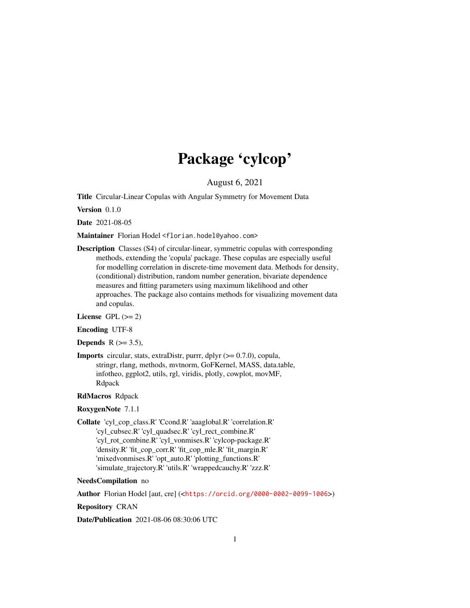# Package 'cylcop'

August 6, 2021

<span id="page-0-0"></span>Title Circular-Linear Copulas with Angular Symmetry for Movement Data

Version 0.1.0

Date 2021-08-05

Maintainer Florian Hodel <florian.hodel@yahoo.com>

Description Classes (S4) of circular-linear, symmetric copulas with corresponding methods, extending the 'copula' package. These copulas are especially useful for modelling correlation in discrete-time movement data. Methods for density, (conditional) distribution, random number generation, bivariate dependence measures and fitting parameters using maximum likelihood and other approaches. The package also contains methods for visualizing movement data and copulas.

License GPL  $(>= 2)$ 

Encoding UTF-8

Depends  $R$  ( $>=$  3.5),

**Imports** circular, stats, extraDistr, purrr, dplyr  $(>= 0.7.0)$ , copula, stringr, rlang, methods, mvtnorm, GoFKernel, MASS, data.table, infotheo, ggplot2, utils, rgl, viridis, plotly, cowplot, movMF, Rdpack

# RdMacros Rdpack

# RoxygenNote 7.1.1

Collate 'cyl\_cop\_class.R' 'Ccond.R' 'aaaglobal.R' 'correlation.R' 'cyl\_cubsec.R' 'cyl\_quadsec.R' 'cyl\_rect\_combine.R' 'cyl\_rot\_combine.R' 'cyl\_vonmises.R' 'cylcop-package.R' 'density.R' 'fit\_cop\_corr.R' 'fit\_cop\_mle.R' 'fit\_margin.R' 'mixedvonmises.R' 'opt\_auto.R' 'plotting\_functions.R' 'simulate\_trajectory.R' 'utils.R' 'wrappedcauchy.R' 'zzz.R'

# NeedsCompilation no

Author Florian Hodel [aut, cre] (<<https://orcid.org/0000-0002-0099-1006>>)

Repository CRAN

Date/Publication 2021-08-06 08:30:06 UTC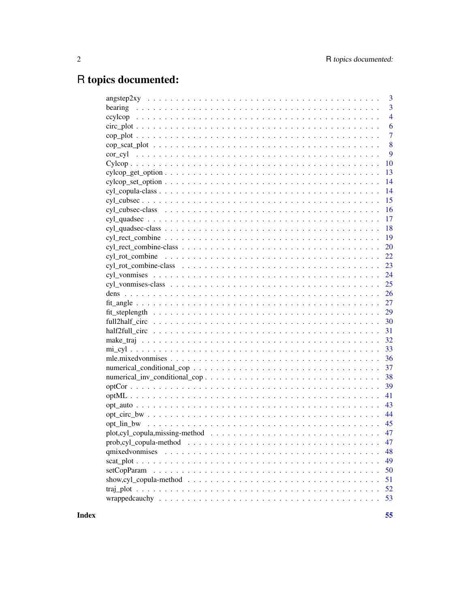# R topics documented:

|                                                                                                                      | 3              |
|----------------------------------------------------------------------------------------------------------------------|----------------|
| bearing                                                                                                              | 3              |
|                                                                                                                      | $\overline{4}$ |
|                                                                                                                      | 6              |
|                                                                                                                      | $\overline{7}$ |
|                                                                                                                      | 8              |
| $cor_{cyl}$                                                                                                          | 9              |
|                                                                                                                      | 10             |
| $cycloop\_get\_option \ldots \ldots \ldots \ldots \ldots \ldots \ldots \ldots \ldots \ldots \ldots \ldots$           | 13             |
|                                                                                                                      | 14             |
|                                                                                                                      | 14             |
|                                                                                                                      | 15             |
|                                                                                                                      | 16             |
|                                                                                                                      | 17             |
|                                                                                                                      | 18             |
|                                                                                                                      | 19             |
|                                                                                                                      | 20             |
| cyl rot_combine                                                                                                      | 22             |
|                                                                                                                      | 23             |
|                                                                                                                      | 24             |
|                                                                                                                      | 25             |
|                                                                                                                      | 26             |
|                                                                                                                      | 27             |
|                                                                                                                      | 29             |
|                                                                                                                      | 30             |
|                                                                                                                      | 31             |
|                                                                                                                      | 32             |
|                                                                                                                      | 33             |
|                                                                                                                      | 36             |
|                                                                                                                      | 37             |
|                                                                                                                      | 38             |
|                                                                                                                      | 39             |
|                                                                                                                      | 41             |
|                                                                                                                      | 43             |
|                                                                                                                      | 44             |
|                                                                                                                      | 45             |
| $plot,cyl\_copula, missing-method \dots \dots \dots \dots \dots \dots \dots \dots \dots \dots \dots \dots$           | 47             |
|                                                                                                                      | 47             |
|                                                                                                                      | 48             |
|                                                                                                                      | 49             |
|                                                                                                                      | 50             |
| show, cyl_copula-method $\ldots \ldots \ldots \ldots \ldots \ldots \ldots \ldots \ldots \ldots \ldots \ldots \ldots$ | 51             |
|                                                                                                                      | 52             |
|                                                                                                                      | 53             |
|                                                                                                                      |                |

**Index**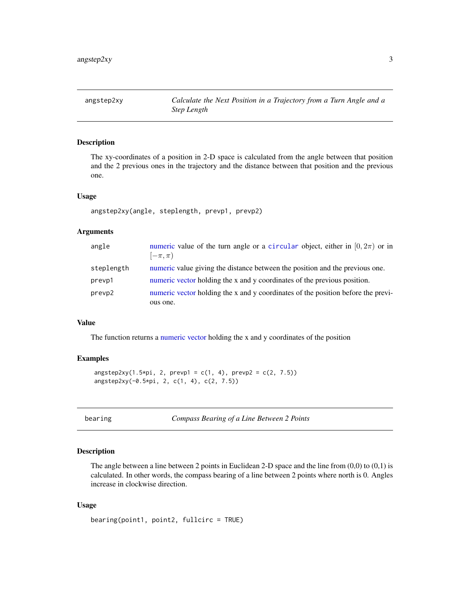# <span id="page-2-0"></span>Description

The xy-coordinates of a position in 2-D space is calculated from the angle between that position and the 2 previous ones in the trajectory and the distance between that position and the previous one.

#### Usage

```
angstep2xy(angle, steplength, prevp1, prevp2)
```
# Arguments

| angle      | numeric value of the turn angle or a circular object, either in $[0, 2\pi)$ or in<br>$[-\pi,\pi)$ |
|------------|---------------------------------------------------------------------------------------------------|
| steplength | numeric value giving the distance between the position and the previous one.                      |
| prevp1     | numeric vector holding the x and y coordinates of the previous position.                          |
| prevp2     | numeric vector holding the x and y coordinates of the position before the previ-                  |
|            | ous one.                                                                                          |

# Value

The function returns a [numeric](#page-0-0) [vector](#page-0-0) holding the x and y coordinates of the position

# Examples

```
angstep2xy(1.5*pi, 2, prey1 = c(1, 4), prev2 = c(2, 7.5))angstep2xy(-0.5*pi, 2, c(1, 4), c(2, 7.5))
```

| bearing |  |
|---------|--|
|         |  |
|         |  |

bearing *Compass Bearing of a Line Between 2 Points*

# Description

The angle between a line between 2 points in Euclidean 2-D space and the line from  $(0,0)$  to  $(0,1)$  is calculated. In other words, the compass bearing of a line between 2 points where north is 0. Angles increase in clockwise direction.

# Usage

```
bearing(point1, point2, fullcirc = TRUE)
```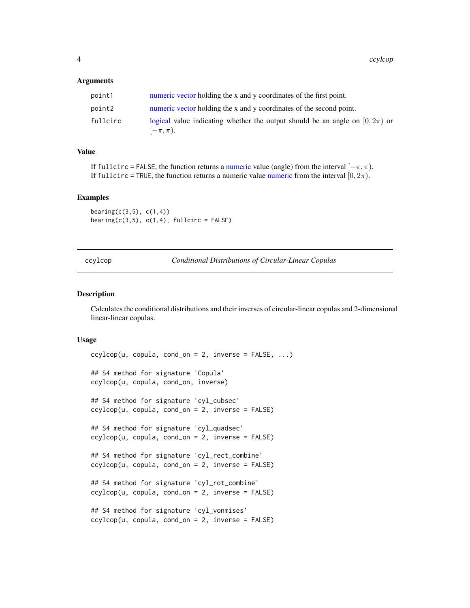#### <span id="page-3-0"></span>**Arguments**

| point1   | numeric vector holding the x and y coordinates of the first point.                                |
|----------|---------------------------------------------------------------------------------------------------|
| point2   | numeric vector holding the x and y coordinates of the second point.                               |
| fullcirc | logical value indicating whether the output should be an angle on $(0, 2\pi)$ or<br>$[-\pi,\pi).$ |

# Value

If fullcirc = FALSE, the function returns a [numeric](#page-0-0) value (angle) from the interval  $[-\pi, \pi)$ . If fullcirc = TRUE, the function returns a [numeric](#page-0-0) value numeric from the interval  $[0, 2\pi)$ .

#### Examples

 $\text{benning}(c(3,5), c(1,4))$ bearing( $c(3,5)$ ,  $c(1,4)$ , fullcirc = FALSE)

<span id="page-3-1"></span>ccylcop *Conditional Distributions of Circular-Linear Copulas*

#### Description

Calculates the conditional distributions and their inverses of circular-linear copulas and 2-dimensional linear-linear copulas.

#### Usage

```
cyclicop(u, copula, cond'on = 2, inverse = FALSE, ...)## S4 method for signature 'Copula'
ccylcop(u, copula, cond_on, inverse)
## S4 method for signature 'cyl_cubsec'
ccylcop(u, copula, cond-on = 2, inverse = FALSE)## S4 method for signature 'cyl_quadsec'
ccylcop(u, copula, cond-on = 2, inverse = FALSE)## S4 method for signature 'cyl_rect_combine'
ccylcop(u, copula, cond_0n = 2, inverse = FALSE)## S4 method for signature 'cyl_rot_combine'
ccylcop(u, copula, cond_0 = 2, inverse = FALSE)## S4 method for signature 'cyl_vonmises'
ccylcop(u, copula, cond_0 = 2, inverse = FALSE)
```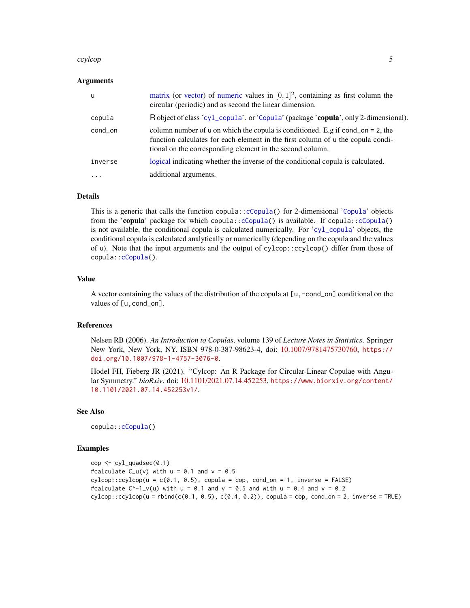#### <span id="page-4-0"></span>ccylcop 5

#### Arguments

| - u      | matrix (or vector) of numeric values in $[0, 1]^2$ , containing as first column the<br>circular (periodic) and as second the linear dimension.                                                                                 |
|----------|--------------------------------------------------------------------------------------------------------------------------------------------------------------------------------------------------------------------------------|
| copula   | R object of class 'cyl_copula'. or 'Copula' (package 'copula', only 2-dimensional).                                                                                                                                            |
| cond_on  | column number of u on which the copula is conditioned. E.g if cond_on = 2, the<br>function calculates for each element in the first column of u the copula condi-<br>tional on the corresponding element in the second column. |
| inverse  | logical indicating whether the inverse of the conditional copula is calculated.                                                                                                                                                |
| $\cdots$ | additional arguments.                                                                                                                                                                                                          |

# Details

This is a generic that calls the function copula:[:cCopula\(](#page-0-0)) for 2-dimensional '[Copula](#page-0-0)' objects from the 'copula' package for which copula:: $c$ Copula() is available. If copula:: $c$ Copula() is not available, the conditional copula is calculated numerically. For '[cyl\\_copula](#page-13-1)' objects, the conditional copula is calculated analytically or numerically (depending on the copula and the values of u). Note that the input arguments and the output of cylcop::ccylcop() differ from those of copula:[:cCopula\(](#page-0-0)).

# Value

A vector containing the values of the distribution of the copula at [u,-cond\_on] conditional on the values of [u, cond\_on].

# References

Nelsen RB (2006). *An Introduction to Copulas*, volume 139 of *Lecture Notes in Statistics*. Springer New York, New York, NY. ISBN 978-0-387-98623-4, doi: [10.1007/9781475730760,](https://doi.org/10.1007/978-1-4757-3076-0) [https://](https://doi.org/10.1007/978-1-4757-3076-0) [doi.org/10.1007/978-1-4757-3076-0](https://doi.org/10.1007/978-1-4757-3076-0).

Hodel FH, Fieberg JR (2021). "Cylcop: An R Package for Circular-Linear Copulae with Angular Symmetry." *bioRxiv*. doi: [10.1101/2021.07.14.452253,](https://doi.org/10.1101/2021.07.14.452253) [https://www.biorxiv.org/content/](https://www.biorxiv.org/content/10.1101/2021.07.14.452253v1/) [10.1101/2021.07.14.452253v1/](https://www.biorxiv.org/content/10.1101/2021.07.14.452253v1/).

#### See Also

copula:[:cCopula\(](#page-0-0))

# Examples

```
cop \leftarrow cyl_quadsec(0.1)#calculate C_u(v) with u = 0.1 and v = 0.5cylinder:ccycle(u = c(0.1, 0.5), copula = cop, cond_an = 1, inverse = FALSE)#calculate C^{\wedge}-1_v(u) with u = 0.1 and v = 0.5 and with u = 0.4 and v = 0.2
cycyloop:ccyloop(u = rbind(c(0.1, 0.5), c(0.4, 0.2)), copula = cop, cond\_on = 2, inverse = TRUE)
```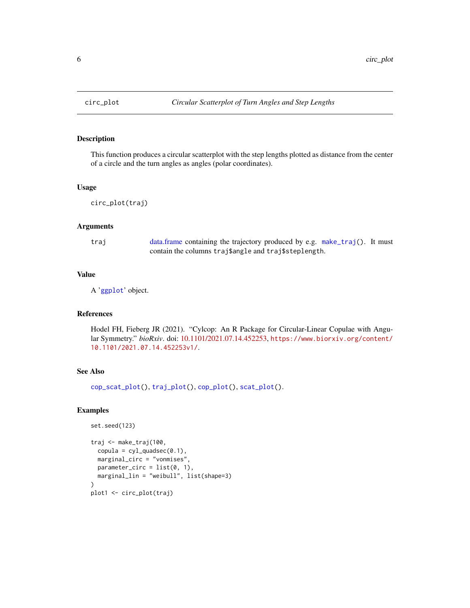<span id="page-5-1"></span><span id="page-5-0"></span>

# Description

This function produces a circular scatterplot with the step lengths plotted as distance from the center of a circle and the turn angles as angles (polar coordinates).

#### Usage

```
circ_plot(traj)
```
# **Arguments**

traj [data.frame](#page-0-0) containing the trajectory produced by e.g. [make\\_traj\(](#page-31-1)). It must contain the columns traj\$angle and traj\$steplength.

# Value

A '[ggplot](#page-0-0)' object.

# References

Hodel FH, Fieberg JR (2021). "Cylcop: An R Package for Circular-Linear Copulae with Angular Symmetry." *bioRxiv*. doi: [10.1101/2021.07.14.452253,](https://doi.org/10.1101/2021.07.14.452253) [https://www.biorxiv.org/content/](https://www.biorxiv.org/content/10.1101/2021.07.14.452253v1/) [10.1101/2021.07.14.452253v1/](https://www.biorxiv.org/content/10.1101/2021.07.14.452253v1/).

# See Also

[cop\\_scat\\_plot\(](#page-7-1)), [traj\\_plot\(](#page-51-1)), [cop\\_plot\(](#page-6-1)), [scat\\_plot\(](#page-48-1)).

# Examples

set.seed(123)

```
traj <- make_traj(100,
  copula = cyl_quadsec(0.1),marginal_circ = "vonmises",
  parameter\_circ = list(0, 1),marginal_lin = "weibull", list(shape=3)
\lambdaplot1 <- circ_plot(traj)
```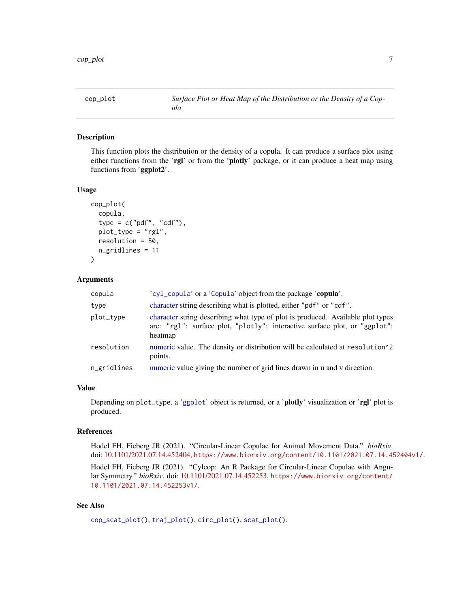<span id="page-6-1"></span><span id="page-6-0"></span>

#### Description

This function plots the distribution or the density of a copula. It can produce a surface plot using either functions from the 'rgl' or from the 'plotly' package, or it can produce a heat map using functions from 'ggplot2'.

#### Usage

```
cop_plot(
  copula,
  type = c("pdf", "cdf"),
  plot_type = "rgl",
  resolution = 50,
  n_gridlines = 11
)
```
# Arguments

| copula      | 'cyl_copula' or a 'Copula' object from the package 'copula'.                                                                                                             |
|-------------|--------------------------------------------------------------------------------------------------------------------------------------------------------------------------|
| type        | character string describing what is plotted, either "pdf" or "cdf".                                                                                                      |
| plot_type   | character string describing what type of plot is produced. Available plot types<br>are: "rgl": surface plot, "plotly": interactive surface plot, or "ggplot":<br>heatmap |
| resolution  | numeric value. The density or distribution will be calculated at resolution <sup>12</sup><br>points.                                                                     |
| n_gridlines | numeric value giving the number of grid lines drawn in u and v direction.                                                                                                |

# Value

Depending on plot\_type, a '[ggplot](#page-0-0)' object is returned, or a 'plotly' visualization or 'rgl' plot is produced.

#### References

Hodel FH, Fieberg JR (2021). "Circular-Linear Copulae for Animal Movement Data." *bioRxiv*. doi: [10.1101/2021.07.14.452404,](https://doi.org/10.1101/2021.07.14.452404) <https://www.biorxiv.org/content/10.1101/2021.07.14.452404v1/>.

Hodel FH, Fieberg JR (2021). "Cylcop: An R Package for Circular-Linear Copulae with Angular Symmetry." *bioRxiv*. doi: [10.1101/2021.07.14.452253,](https://doi.org/10.1101/2021.07.14.452253) [https://www.biorxiv.org/content/](https://www.biorxiv.org/content/10.1101/2021.07.14.452253v1/) [10.1101/2021.07.14.452253v1/](https://www.biorxiv.org/content/10.1101/2021.07.14.452253v1/).

# See Also

[cop\\_scat\\_plot\(](#page-7-1)), [traj\\_plot\(](#page-51-1)), [circ\\_plot\(](#page-5-1)), [scat\\_plot\(](#page-48-1)).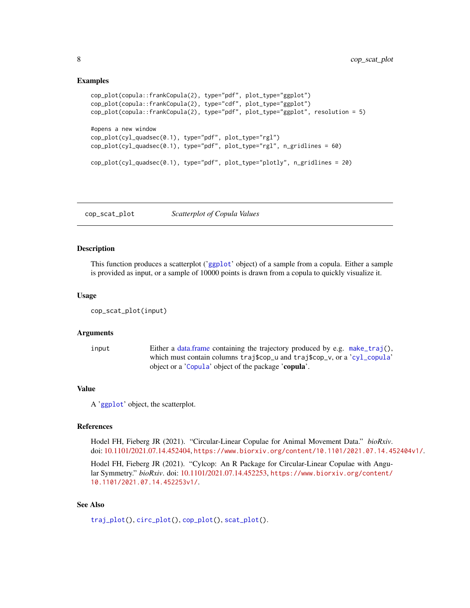# <span id="page-7-0"></span>Examples

```
cop_plot(copula::frankCopula(2), type="pdf", plot_type="ggplot")
cop_plot(copula::frankCopula(2), type="cdf", plot_type="ggplot")
cop_plot(copula::frankCopula(2), type="pdf", plot_type="ggplot", resolution = 5)
#opens a new window
cop_plot(cyl_quadsec(0.1), type="pdf", plot_type="rgl")
cop_plot(cyl_quadsec(0.1), type="pdf", plot_type="rgl", n_gridlines = 60)
cop_plot(cyl_quadsec(0.1), type="pdf", plot_type="plotly", n_gridlines = 20)
```
<span id="page-7-1"></span>cop\_scat\_plot *Scatterplot of Copula Values*

# Description

This function produces a scatterplot ('[ggplot](#page-0-0)' object) of a sample from a copula. Either a sample is provided as input, or a sample of 10000 points is drawn from a copula to quickly visualize it.

# Usage

```
cop_scat_plot(input)
```
# Arguments

input Either a [data.frame](#page-0-0) containing the trajectory produced by e.g. [make\\_traj\(](#page-31-1)), which must contain columns traj\$cop\_u and traj\$cop\_v, or a '[cyl\\_copula](#page-13-1)' object or a '[Copula](#page-0-0)' object of the package 'copula'.

#### Value

A '[ggplot](#page-0-0)' object, the scatterplot.

# References

Hodel FH, Fieberg JR (2021). "Circular-Linear Copulae for Animal Movement Data." *bioRxiv*. doi: [10.1101/2021.07.14.452404,](https://doi.org/10.1101/2021.07.14.452404) <https://www.biorxiv.org/content/10.1101/2021.07.14.452404v1/>.

Hodel FH, Fieberg JR (2021). "Cylcop: An R Package for Circular-Linear Copulae with Angular Symmetry." *bioRxiv*. doi: [10.1101/2021.07.14.452253,](https://doi.org/10.1101/2021.07.14.452253) [https://www.biorxiv.org/content/](https://www.biorxiv.org/content/10.1101/2021.07.14.452253v1/) [10.1101/2021.07.14.452253v1/](https://www.biorxiv.org/content/10.1101/2021.07.14.452253v1/).

# See Also

[traj\\_plot\(](#page-51-1)), [circ\\_plot\(](#page-5-1)), [cop\\_plot\(](#page-6-1)), [scat\\_plot\(](#page-48-1)).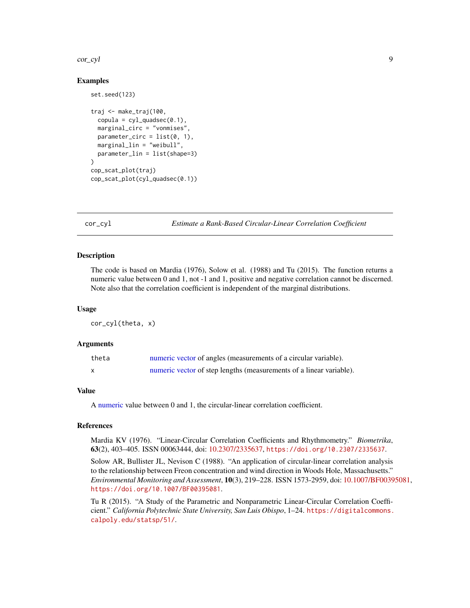#### <span id="page-8-0"></span>cor\_cyl 9

# Examples

set.seed(123)

```
traj <- make_traj(100,
 copula = cyl_quadsec(0.1),marginal_circ = "vonmises",
 parameter\_circ = list(0, 1),marginal_lin = "weibull",
 parameter_lin = list(shape=3)
)
cop_scat_plot(traj)
cop_scat_plot(cyl_quadsec(0.1))
```
<span id="page-8-1"></span>cor\_cyl *Estimate a Rank-Based Circular-Linear Correlation Coefficient*

# **Description**

The code is based on Mardia (1976), Solow et al. (1988) and Tu (2015). The function returns a numeric value between 0 and 1, not -1 and 1, positive and negative correlation cannot be discerned. Note also that the correlation coefficient is independent of the marginal distributions.

#### Usage

cor\_cyl(theta, x)

# Arguments

| theta | numeric vector of angles (measurements of a circular variable).     |
|-------|---------------------------------------------------------------------|
|       | numeric vector of step lengths (measurements of a linear variable). |

#### Value

A [numeric](#page-0-0) value between 0 and 1, the circular-linear correlation coefficient.

# References

Mardia KV (1976). "Linear-Circular Correlation Coefficients and Rhythmometry." *Biometrika*, 63(2), 403–405. ISSN 00063444, doi: [10.2307/2335637,](https://doi.org/10.2307/2335637) <https://doi.org/10.2307/2335637>.

Solow AR, Bullister JL, Nevison C (1988). "An application of circular-linear correlation analysis to the relationship between Freon concentration and wind direction in Woods Hole, Massachusetts." *Environmental Monitoring and Assessment*, 10(3), 219–228. ISSN 1573-2959, doi: [10.1007/BF00395081,](https://doi.org/10.1007/BF00395081) <https://doi.org/10.1007/BF00395081>.

Tu R (2015). "A Study of the Parametric and Nonparametric Linear-Circular Correlation Coefficient." *California Polytechnic State University, San Luis Obispo*, 1–24. [https://digitalcommons.](https://digitalcommons.calpoly.edu/statsp/51/) [calpoly.edu/statsp/51/](https://digitalcommons.calpoly.edu/statsp/51/).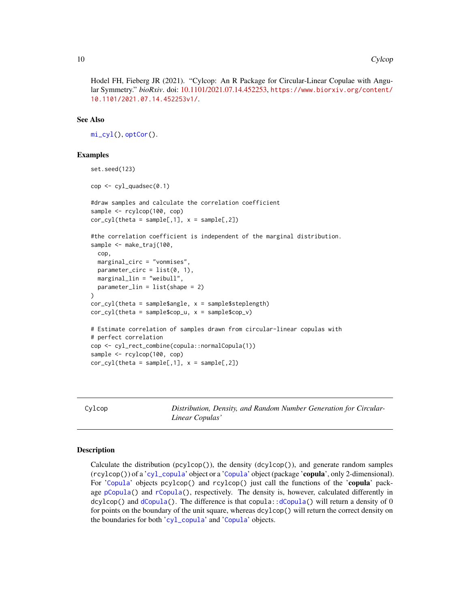<span id="page-9-0"></span>Hodel FH, Fieberg JR (2021). "Cylcop: An R Package for Circular-Linear Copulae with Angular Symmetry." *bioRxiv*. doi: [10.1101/2021.07.14.452253,](https://doi.org/10.1101/2021.07.14.452253) [https://www.biorxiv.org/content/](https://www.biorxiv.org/content/10.1101/2021.07.14.452253v1/) [10.1101/2021.07.14.452253v1/](https://www.biorxiv.org/content/10.1101/2021.07.14.452253v1/).

# See Also

```
mi_cyl(), optCor().
```
# Examples

```
set.seed(123)
cop \leftarrow cyl_quadsec(0.1)#draw samples and calculate the correlation coefficient
sample <- rcylcop(100, cop)
cor\_cyl(theta = sample[,1], x = sample[,2])
#the correlation coefficient is independent of the marginal distribution.
sample <- make_traj(100,
 cop,
 marginal_circ = "vonmises",
 parameter_circ = list(0, 1),
 marginal_lin = "weibull",
 parameter_lin = list(shape = 2)
)
cor_cyl(theta = sample$angle, x = sample$steplength)
cor_cyl(theta = sample$cop_u, x = sample$cop_v)
# Estimate correlation of samples drawn from circular-linear copulas with
# perfect correlation
cop <- cyl_rect_combine(copula::normalCopula(1))
sample <- rcylcop(100, cop)
cor_cyl(theta = sample[, 1], x = sample[, 2]
```
Cylcop *Distribution, Density, and Random Number Generation for Circular-Linear Copulas'*

# **Description**

Calculate the distribution (pcylcop()), the density (dcylcop()), and generate random samples  $(\text{rcy} \log(\epsilon))$  of a '[cyl\\_copula](#page-13-1)' object or a '[Copula](#page-0-0)' object (package 'copula', only 2-dimensional). For '[Copula](#page-0-0)' objects pcylcop() and rcylcop() just call the functions of the 'copula' package [pCopula\(](#page-0-0)) and [rCopula\(](#page-0-0)), respectively. The density is, however, calculated differently in dcylcop() and [dCopula\(](#page-0-0)). The difference is that copula:[:dCopula\(](#page-0-0)) will return a density of 0 for points on the boundary of the unit square, whereas dcylcop() will return the correct density on the boundaries for both '[cyl\\_copula](#page-13-1)' and '[Copula](#page-0-0)' objects.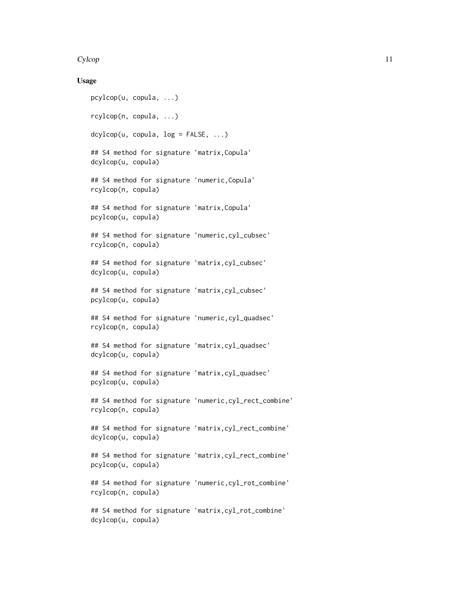#### Cylcop and the contract of the contract of the contract of the contract of the contract of the contract of the contract of the contract of the contract of the contract of the contract of the contract of the contract of the

# Usage

```
pcylcop(u, copula, ...)
rcylcop(n, copula, ...)
dcylcop(u, copula, log = FALSE, ...)
## S4 method for signature 'matrix,Copula'
dcylcop(u, copula)
## S4 method for signature 'numeric,Copula'
rcylcop(n, copula)
## S4 method for signature 'matrix,Copula'
pcylcop(u, copula)
## S4 method for signature 'numeric,cyl_cubsec'
rcylcop(n, copula)
## S4 method for signature 'matrix,cyl_cubsec'
dcylcop(u, copula)
## S4 method for signature 'matrix,cyl_cubsec'
pcylcop(u, copula)
## S4 method for signature 'numeric,cyl_quadsec'
rcylcop(n, copula)
## S4 method for signature 'matrix,cyl_quadsec'
dcylcop(u, copula)
## S4 method for signature 'matrix,cyl_quadsec'
pcylcop(u, copula)
## S4 method for signature 'numeric,cyl_rect_combine'
rcylcop(n, copula)
## S4 method for signature 'matrix, cyl_rect_combine'
dcylcop(u, copula)
## S4 method for signature 'matrix,cyl_rect_combine'
pcylcop(u, copula)
## S4 method for signature 'numeric,cyl_rot_combine'
rcylcop(n, copula)
## S4 method for signature 'matrix,cyl_rot_combine'
dcylcop(u, copula)
```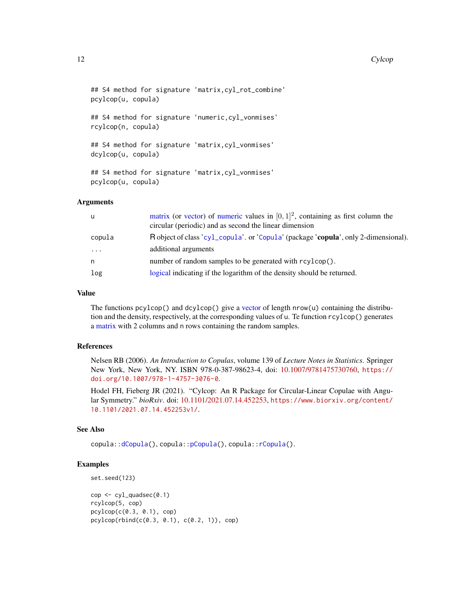#### <span id="page-11-0"></span>12 Cylcop

```
## S4 method for signature 'matrix,cyl_rot_combine'
pcylcop(u, copula)
## S4 method for signature 'numeric,cyl_vonmises'
rcylcop(n, copula)
## S4 method for signature 'matrix,cyl_vonmises'
dcylcop(u, copula)
## S4 method for signature 'matrix,cyl_vonmises'
pcylcop(u, copula)
```
# Arguments

| U.        | matrix (or vector) of numeric values in $[0, 1]^2$ , containing as first column the<br>circular (periodic) and as second the linear dimension |
|-----------|-----------------------------------------------------------------------------------------------------------------------------------------------|
| copula    | R object of class 'cyl_copula'. or 'Copula' (package 'copula', only 2-dimensional).                                                           |
| $\ddotsc$ | additional arguments                                                                                                                          |
| n.        | number of random samples to be generated with rcylcop().                                                                                      |
| log       | logical indicating if the logarithm of the density should be returned.                                                                        |

#### Value

The functions  $pcy1cop()$  and  $dcy1cop()$  give a [vector](#page-0-0) of length nrow(u) containing the distribution and the density, respectively, at the corresponding values of u. Te function rcylcop() generates a [matrix](#page-0-0) with 2 columns and n rows containing the random samples.

# References

Nelsen RB (2006). *An Introduction to Copulas*, volume 139 of *Lecture Notes in Statistics*. Springer New York, New York, NY. ISBN 978-0-387-98623-4, doi: [10.1007/9781475730760,](https://doi.org/10.1007/978-1-4757-3076-0) [https://](https://doi.org/10.1007/978-1-4757-3076-0) [doi.org/10.1007/978-1-4757-3076-0](https://doi.org/10.1007/978-1-4757-3076-0).

Hodel FH, Fieberg JR (2021). "Cylcop: An R Package for Circular-Linear Copulae with Angular Symmetry." *bioRxiv*. doi: [10.1101/2021.07.14.452253,](https://doi.org/10.1101/2021.07.14.452253) [https://www.biorxiv.org/content/](https://www.biorxiv.org/content/10.1101/2021.07.14.452253v1/) [10.1101/2021.07.14.452253v1/](https://www.biorxiv.org/content/10.1101/2021.07.14.452253v1/).

# See Also

copula:[:dCopula\(](#page-0-0)), copula:[:pCopula\(](#page-0-0)), copula:[:rCopula\(](#page-0-0)).

#### Examples

set.seed(123)

```
cop \leftarrow cyl_quadsec(0.1)rcylcop(5, cop)
pcylcop(c(0.3, 0.1), cop)pcylcop(rbind(c(0.3, 0.1), c(0.2, 1)), cop)
```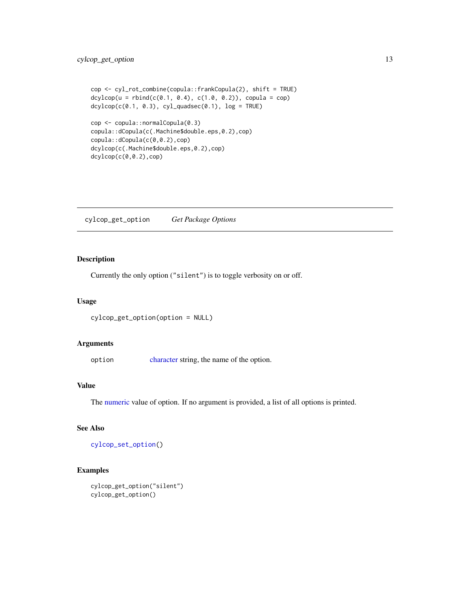```
cop <- cyl_rot_combine(copula::frankCopula(2), shift = TRUE)
dcylcop(u = rbind(c(0.1, 0.4), c(1.0, 0.2)), copula = cop)dcylcop(c(0.1, 0.3), cyl_quadsec(0.1), log = TRUE)
```

```
cop <- copula::normalCopula(0.3)
copula::dCopula(c(.Machine$double.eps,0.2),cop)
copula::dCopula(c(0,0.2),cop)
dcylcop(c(.Machine$double.eps,0.2),cop)
dcylcop(c(0,0.2),cop)
```
<span id="page-12-1"></span>cylcop\_get\_option *Get Package Options*

# Description

Currently the only option ("silent") is to toggle verbosity on or off.

#### Usage

cylcop\_get\_option(option = NULL)

#### Arguments

option [character](#page-0-0) string, the name of the option.

# Value

The [numeric](#page-0-0) value of option. If no argument is provided, a list of all options is printed.

# See Also

[cylcop\\_set\\_option\(](#page-13-2))

# Examples

```
cylcop_get_option("silent")
cylcop_get_option()
```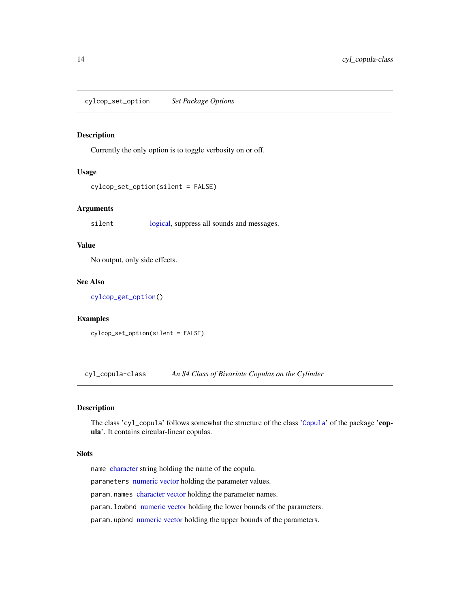<span id="page-13-2"></span><span id="page-13-0"></span>cylcop\_set\_option *Set Package Options*

# Description

Currently the only option is to toggle verbosity on or off.

# Usage

```
cylcop_set_option(silent = FALSE)
```
# Arguments

silent [logical,](#page-0-0) suppress all sounds and messages.

# Value

No output, only side effects.

# See Also

[cylcop\\_get\\_option\(](#page-12-1))

# Examples

cylcop\_set\_option(silent = FALSE)

<span id="page-13-1"></span>cyl\_copula-class *An S4 Class of Bivariate Copulas on the Cylinder*

# Description

The class 'cyl\_copula' follows somewhat the structure of the class '[Copula](#page-0-0)' of the package 'copula'. It contains circular-linear copulas.

#### Slots

name [character](#page-0-0) string holding the name of the copula.

parameters [numeric](#page-0-0) [vector](#page-0-0) holding the parameter values.

param.names [character](#page-0-0) [vector](#page-0-0) holding the parameter names.

param.lowbnd [numeric](#page-0-0) [vector](#page-0-0) holding the lower bounds of the parameters.

param.upbnd [numeric](#page-0-0) [vector](#page-0-0) holding the upper bounds of the parameters.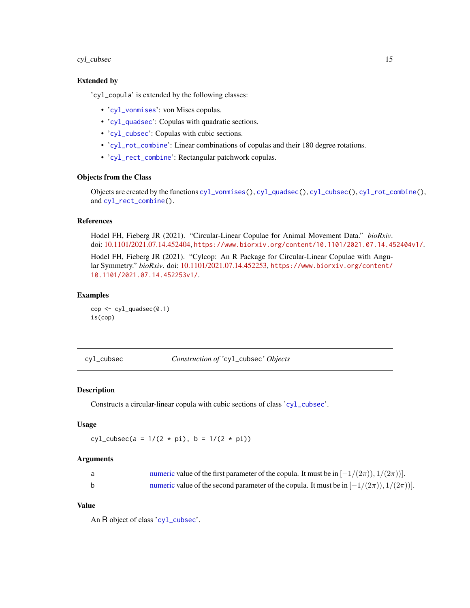# <span id="page-14-0"></span>cyl\_cubsec 15

# Extended by

'cyl\_copula' is extended by the following classes:

- '[cyl\\_vonmises](#page-24-1)': von Mises copulas.
- '[cyl\\_quadsec](#page-17-1)': Copulas with quadratic sections.
- '[cyl\\_cubsec](#page-15-1)': Copulas with cubic sections.
- '[cyl\\_rot\\_combine](#page-22-1)': Linear combinations of copulas and their 180 degree rotations.
- '[cyl\\_rect\\_combine](#page-19-1)': Rectangular patchwork copulas.

# Objects from the Class

Objects are created by the functions [cyl\\_vonmises\(](#page-23-1)), [cyl\\_quadsec\(](#page-16-1)), [cyl\\_cubsec\(](#page-14-1)), [cyl\\_rot\\_combine\(](#page-21-1)), and [cyl\\_rect\\_combine\(](#page-18-1)).

# References

Hodel FH, Fieberg JR (2021). "Circular-Linear Copulae for Animal Movement Data." *bioRxiv*. doi: [10.1101/2021.07.14.452404,](https://doi.org/10.1101/2021.07.14.452404) <https://www.biorxiv.org/content/10.1101/2021.07.14.452404v1/>.

Hodel FH, Fieberg JR (2021). "Cylcop: An R Package for Circular-Linear Copulae with Angular Symmetry." *bioRxiv*. doi: [10.1101/2021.07.14.452253,](https://doi.org/10.1101/2021.07.14.452253) [https://www.biorxiv.org/content/](https://www.biorxiv.org/content/10.1101/2021.07.14.452253v1/) [10.1101/2021.07.14.452253v1/](https://www.biorxiv.org/content/10.1101/2021.07.14.452253v1/).

# Examples

cop <- cyl\_quadsec(0.1) is(cop)

<span id="page-14-1"></span>cyl\_cubsec *Construction of '*cyl\_cubsec*' Objects*

#### Description

Constructs a circular-linear copula with cubic sections of class '[cyl\\_cubsec](#page-15-1)'.

# Usage

 $cyl_cubsec(a = 1/(2 * pi), b = 1/(2 * pi))$ 

#### Arguments

| numeric value of the first parameter of the copula. It must be in $[-1/(2\pi)), 1/(2\pi))$ .  |
|-----------------------------------------------------------------------------------------------|
| numeric value of the second parameter of the copula. It must be in $[-1/(2\pi)), 1/(2\pi))$ . |

# Value

An R object of class '[cyl\\_cubsec](#page-15-1)'.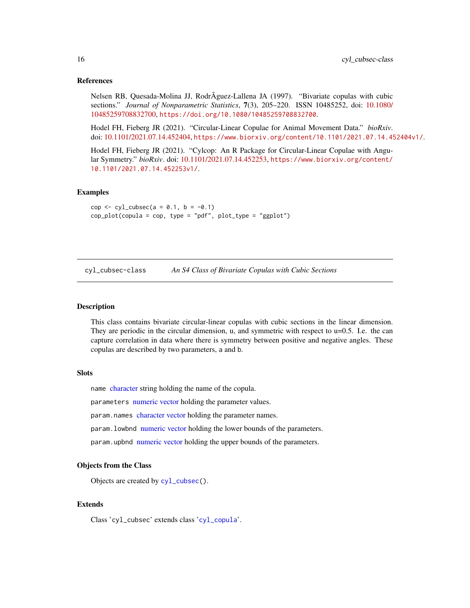# <span id="page-15-0"></span>References

Nelsen RB, Quesada-Molina JJ, RodrÃguez-Lallena JA (1997). "Bivariate copulas with cubic sections." *Journal of Nonparametric Statistics*, 7(3), 205–220. ISSN 10485252, doi: [10.1080/](https://doi.org/10.1080/10485259708832700) [10485259708832700,](https://doi.org/10.1080/10485259708832700) <https://doi.org/10.1080/10485259708832700>.

Hodel FH, Fieberg JR (2021). "Circular-Linear Copulae for Animal Movement Data." *bioRxiv*. doi: [10.1101/2021.07.14.452404,](https://doi.org/10.1101/2021.07.14.452404) <https://www.biorxiv.org/content/10.1101/2021.07.14.452404v1/>.

Hodel FH, Fieberg JR (2021). "Cylcop: An R Package for Circular-Linear Copulae with Angular Symmetry." *bioRxiv*. doi: [10.1101/2021.07.14.452253,](https://doi.org/10.1101/2021.07.14.452253) [https://www.biorxiv.org/content/](https://www.biorxiv.org/content/10.1101/2021.07.14.452253v1/) [10.1101/2021.07.14.452253v1/](https://www.biorxiv.org/content/10.1101/2021.07.14.452253v1/).

#### Examples

```
cop <- cyl_cubsec(a = 0.1, b = -0.1)
cop_plot(copula = cop, type = "pdf", plot_type = "ggplot")
```
<span id="page-15-1"></span>cyl\_cubsec-class *An S4 Class of Bivariate Copulas with Cubic Sections*

#### Description

This class contains bivariate circular-linear copulas with cubic sections in the linear dimension. They are periodic in the circular dimension, u, and symmetric with respect to  $u=0.5$ . I.e. the can capture correlation in data where there is symmetry between positive and negative angles. These copulas are described by two parameters, a and b.

#### **Slots**

name [character](#page-0-0) string holding the name of the copula.

parameters [numeric](#page-0-0) [vector](#page-0-0) holding the parameter values.

param.names [character](#page-0-0) [vector](#page-0-0) holding the parameter names.

param. lowbnd [numeric](#page-0-0) [vector](#page-0-0) holding the lower bounds of the parameters.

param.upbnd [numeric](#page-0-0) [vector](#page-0-0) holding the upper bounds of the parameters.

#### Objects from the Class

Objects are created by [cyl\\_cubsec\(](#page-14-1)).

#### Extends

Class 'cyl\_cubsec' extends class '[cyl\\_copula](#page-13-1)'.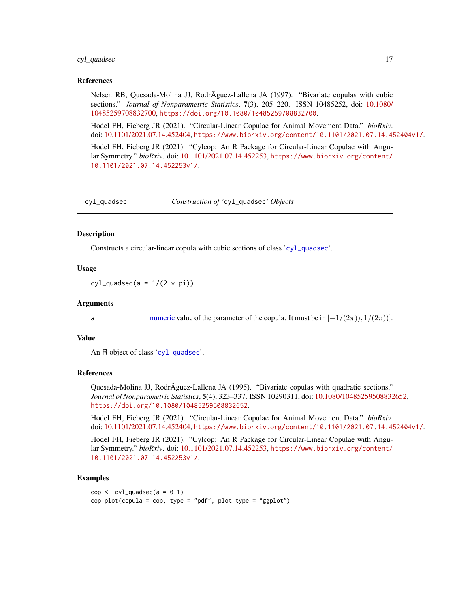#### <span id="page-16-0"></span>cyl\_quadsec 17

#### References

Nelsen RB, Quesada-Molina JJ, RodrÃguez-Lallena JA (1997). "Bivariate copulas with cubic sections." *Journal of Nonparametric Statistics*, 7(3), 205–220. ISSN 10485252, doi: [10.1080/](https://doi.org/10.1080/10485259708832700) [10485259708832700,](https://doi.org/10.1080/10485259708832700) <https://doi.org/10.1080/10485259708832700>.

Hodel FH, Fieberg JR (2021). "Circular-Linear Copulae for Animal Movement Data." *bioRxiv*. doi: [10.1101/2021.07.14.452404,](https://doi.org/10.1101/2021.07.14.452404) <https://www.biorxiv.org/content/10.1101/2021.07.14.452404v1/>.

Hodel FH, Fieberg JR (2021). "Cylcop: An R Package for Circular-Linear Copulae with Angular Symmetry." *bioRxiv*. doi: [10.1101/2021.07.14.452253,](https://doi.org/10.1101/2021.07.14.452253) [https://www.biorxiv.org/content/](https://www.biorxiv.org/content/10.1101/2021.07.14.452253v1/) [10.1101/2021.07.14.452253v1/](https://www.biorxiv.org/content/10.1101/2021.07.14.452253v1/).

<span id="page-16-1"></span>cyl\_quadsec *Construction of '*cyl\_quadsec*' Objects*

# **Description**

Constructs a circular-linear copula with cubic sections of class '[cyl\\_quadsec](#page-17-1)'.

#### Usage

cyl\_quadsec(a =  $1/(2 * pi)$ )

# Arguments

a [numeric](#page-0-0) value of the parameter of the copula. It must be in  $[-1/(2\pi))$ ,  $1/(2\pi))$ .

#### Value

An R object of class '[cyl\\_quadsec](#page-17-1)'.

# References

Quesada-Molina JJ, RodrÃguez-Lallena JA (1995). "Bivariate copulas with quadratic sections." *Journal of Nonparametric Statistics*, 5(4), 323–337. ISSN 10290311, doi: [10.1080/10485259508832652,](https://doi.org/10.1080/10485259508832652) <https://doi.org/10.1080/10485259508832652>.

Hodel FH, Fieberg JR (2021). "Circular-Linear Copulae for Animal Movement Data." *bioRxiv*. doi: [10.1101/2021.07.14.452404,](https://doi.org/10.1101/2021.07.14.452404) <https://www.biorxiv.org/content/10.1101/2021.07.14.452404v1/>.

Hodel FH, Fieberg JR (2021). "Cylcop: An R Package for Circular-Linear Copulae with Angular Symmetry." *bioRxiv*. doi: [10.1101/2021.07.14.452253,](https://doi.org/10.1101/2021.07.14.452253) [https://www.biorxiv.org/content/](https://www.biorxiv.org/content/10.1101/2021.07.14.452253v1/) [10.1101/2021.07.14.452253v1/](https://www.biorxiv.org/content/10.1101/2021.07.14.452253v1/).

#### Examples

```
cop \leftarrow cv1 quadsec(a = 0.1)
cop_plot(copula = cop, type = "pdf", plot_type = "ggplot")
```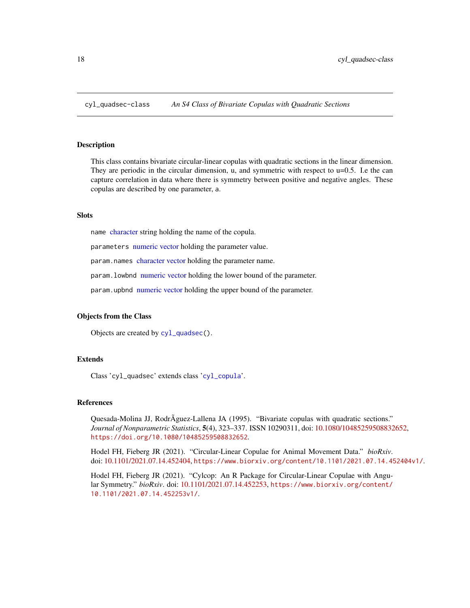<span id="page-17-1"></span><span id="page-17-0"></span>

#### Description

This class contains bivariate circular-linear copulas with quadratic sections in the linear dimension. They are periodic in the circular dimension, u, and symmetric with respect to u=0.5. I.e the can capture correlation in data where there is symmetry between positive and negative angles. These copulas are described by one parameter, a.

# **Slots**

name [character](#page-0-0) string holding the name of the copula.

parameters [numeric](#page-0-0) [vector](#page-0-0) holding the parameter value.

param.names [character](#page-0-0) [vector](#page-0-0) holding the parameter name.

param.lowbnd [numeric](#page-0-0) [vector](#page-0-0) holding the lower bound of the parameter.

param.upbnd [numeric](#page-0-0) [vector](#page-0-0) holding the upper bound of the parameter.

# Objects from the Class

Objects are created by [cyl\\_quadsec\(](#page-16-1)).

# Extends

Class 'cyl\_quadsec' extends class '[cyl\\_copula](#page-13-1)'.

# References

Quesada-Molina JJ, RodrÃguez-Lallena JA (1995). "Bivariate copulas with quadratic sections." *Journal of Nonparametric Statistics*, 5(4), 323–337. ISSN 10290311, doi: [10.1080/10485259508832652,](https://doi.org/10.1080/10485259508832652) <https://doi.org/10.1080/10485259508832652>.

Hodel FH, Fieberg JR (2021). "Circular-Linear Copulae for Animal Movement Data." *bioRxiv*. doi: [10.1101/2021.07.14.452404,](https://doi.org/10.1101/2021.07.14.452404) <https://www.biorxiv.org/content/10.1101/2021.07.14.452404v1/>.

Hodel FH, Fieberg JR (2021). "Cylcop: An R Package for Circular-Linear Copulae with Angular Symmetry." *bioRxiv*. doi: [10.1101/2021.07.14.452253,](https://doi.org/10.1101/2021.07.14.452253) [https://www.biorxiv.org/content/](https://www.biorxiv.org/content/10.1101/2021.07.14.452253v1/) [10.1101/2021.07.14.452253v1/](https://www.biorxiv.org/content/10.1101/2021.07.14.452253v1/).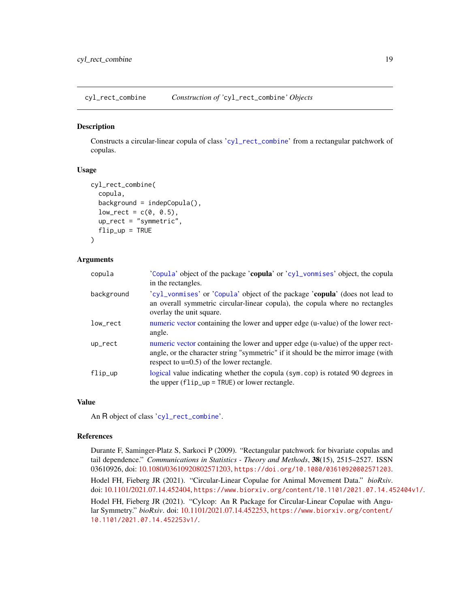<span id="page-18-1"></span><span id="page-18-0"></span>cyl\_rect\_combine *Construction of '*cyl\_rect\_combine*' Objects*

# Description

Constructs a circular-linear copula of class '[cyl\\_rect\\_combine](#page-19-1)' from a rectangular patchwork of copulas.

#### Usage

```
cyl_rect_combine(
  copula,
  background = indepCopula(),
  low\_rect = c(0, 0.5),
  up_rect = "symmetric",
  flip\_up = TRUE\lambda
```
#### Arguments

| copula     | 'Copula' object of the package 'copula' or 'cyl_vonmises' object, the copula<br>in the rectangles.                                                                                                                   |
|------------|----------------------------------------------------------------------------------------------------------------------------------------------------------------------------------------------------------------------|
| background | 'cyl_vonmises' or 'Copula' object of the package 'copula' (does not lead to<br>an overall symmetric circular-linear copula), the copula where no rectangles<br>overlay the unit square.                              |
| low_rect   | numeric vector containing the lower and upper edge (u-value) of the lower rect-<br>angle.                                                                                                                            |
| $up\_rect$ | numeric vector containing the lower and upper edge (u-value) of the upper rect-<br>angle, or the character string "symmetric" if it should be the mirror image (with<br>respect to $u=0.5$ ) of the lower rectangle. |
| flip_up    | logical value indicating whether the copula (sym.cop) is rotated 90 degrees in<br>the upper $(flip_up = TRUE)$ or lower rectangle.                                                                                   |

# Value

An R object of class '[cyl\\_rect\\_combine](#page-19-1)'.

# References

Durante F, Saminger-Platz S, Sarkoci P (2009). "Rectangular patchwork for bivariate copulas and tail dependence." *Communications in Statistics - Theory and Methods*, 38(15), 2515–2527. ISSN 03610926, doi: [10.1080/03610920802571203,](https://doi.org/10.1080/03610920802571203) <https://doi.org/10.1080/03610920802571203>.

Hodel FH, Fieberg JR (2021). "Circular-Linear Copulae for Animal Movement Data." *bioRxiv*. doi: [10.1101/2021.07.14.452404,](https://doi.org/10.1101/2021.07.14.452404) <https://www.biorxiv.org/content/10.1101/2021.07.14.452404v1/>.

Hodel FH, Fieberg JR (2021). "Cylcop: An R Package for Circular-Linear Copulae with Angular Symmetry." *bioRxiv*. doi: [10.1101/2021.07.14.452253,](https://doi.org/10.1101/2021.07.14.452253) [https://www.biorxiv.org/content/](https://www.biorxiv.org/content/10.1101/2021.07.14.452253v1/) [10.1101/2021.07.14.452253v1/](https://www.biorxiv.org/content/10.1101/2021.07.14.452253v1/).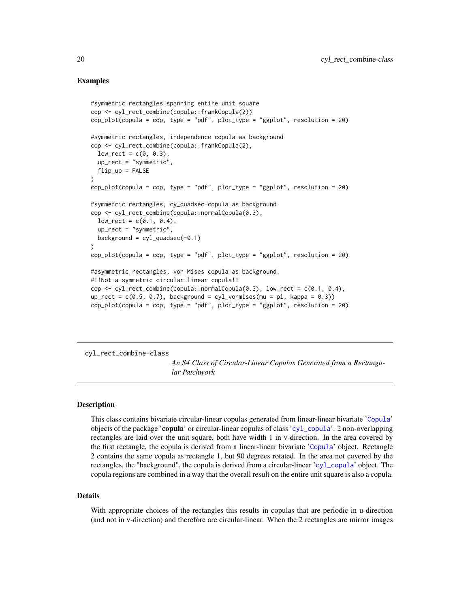# Examples

```
#symmetric rectangles spanning entire unit square
cop <- cyl_rect_combine(copula::frankCopula(2))
cop_plot(copula = cop, type = "pdf", plot_type = "ggplot", resolution = 20)
#symmetric rectangles, independence copula as background
cop <- cyl_rect_combine(copula::frankCopula(2),
 low\_rect = c(0, 0.3),
 up_rect = "symmetric",
 flip-up = FALSE)
cop_1lot(copula = cop, type = "pdf", plot_type = "ggplot", resolution = 20)
#symmetric rectangles, cy_quadsec-copula as background
cop <- cyl_rect_combine(copula::normalCopula(0.3),
 low\_rect = c(0.1, 0.4),
 up_rect = "symmetric",
 background = cy1<sub>quadsec</sub>(-0.1))
cop\_plot(copula = cop, type = "pdf", plot\_type = "ggplot", resolution = 20)#asymmetric rectangles, von Mises copula as background.
#!!Not a symmetric circular linear copula!!
cop \le cyl_rect_combine(copula::normalCopula(0.3), low_rect = c(0.1, 0.4),
up_{rect} = c(0.5, 0.7), background = cyl_vonmises(mu = pi, kappa = 0.3))
cop_1bot(copula = cop, type = "pdf", plot_type = "ggplot", resolution = 20)
```
<span id="page-19-1"></span>cyl\_rect\_combine-class

*An S4 Class of Circular-Linear Copulas Generated from a Rectangular Patchwork*

#### Description

This class contains bivariate circular-linear copulas generated from linear-linear bivariate '[Copula](#page-0-0)' objects of the package 'copula' or circular-linear copulas of class '[cyl\\_copula](#page-13-1)'. 2 non-overlapping rectangles are laid over the unit square, both have width 1 in v-direction. In the area covered by the first rectangle, the copula is derived from a linear-linear bivariate '[Copula](#page-0-0)' object. Rectangle 2 contains the same copula as rectangle 1, but 90 degrees rotated. In the area not covered by the rectangles, the "background", the copula is derived from a circular-linear '[cyl\\_copula](#page-13-1)' object. The copula regions are combined in a way that the overall result on the entire unit square is also a copula.

#### Details

With appropriate choices of the rectangles this results in copulas that are periodic in u-direction (and not in v-direction) and therefore are circular-linear. When the 2 rectangles are mirror images

<span id="page-19-0"></span>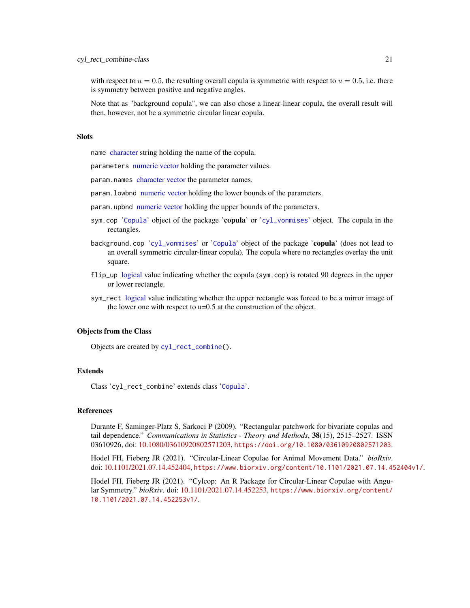<span id="page-20-0"></span>with respect to  $u = 0.5$ , the resulting overall copula is symmetric with respect to  $u = 0.5$ , i.e. there is symmetry between positive and negative angles.

Note that as "background copula", we can also chose a linear-linear copula, the overall result will then, however, not be a symmetric circular linear copula.

# **Slots**

name [character](#page-0-0) string holding the name of the copula.

parameters [numeric](#page-0-0) [vector](#page-0-0) holding the parameter values.

param.names [character](#page-0-0) [vector](#page-0-0) the parameter names.

param. lowbnd [numeric](#page-0-0) [vector](#page-0-0) holding the lower bounds of the parameters.

- param.upbnd [numeric](#page-0-0) [vector](#page-0-0) holding the upper bounds of the parameters.
- sym.cop '[Copula](#page-0-0)' object of the package 'copula' or '[cyl\\_vonmises](#page-24-1)' object. The copula in the rectangles.
- background.cop '[cyl\\_vonmises](#page-24-1)' or '[Copula](#page-0-0)' object of the package 'copula' (does not lead to an overall symmetric circular-linear copula). The copula where no rectangles overlay the unit square.
- flip\_up [logical](#page-0-0) value indicating whether the copula (sym.cop) is rotated 90 degrees in the upper or lower rectangle.
- sym\_rect [logical](#page-0-0) value indicating whether the upper rectangle was forced to be a mirror image of the lower one with respect to u=0.5 at the construction of the object.

#### Objects from the Class

Objects are created by [cyl\\_rect\\_combine\(](#page-18-1)).

# Extends

Class 'cyl\_rect\_combine' extends class '[Copula](#page-0-0)'.

#### References

Durante F, Saminger-Platz S, Sarkoci P (2009). "Rectangular patchwork for bivariate copulas and tail dependence." *Communications in Statistics - Theory and Methods*, 38(15), 2515–2527. ISSN 03610926, doi: [10.1080/03610920802571203,](https://doi.org/10.1080/03610920802571203) <https://doi.org/10.1080/03610920802571203>.

Hodel FH, Fieberg JR (2021). "Circular-Linear Copulae for Animal Movement Data." *bioRxiv*. doi: [10.1101/2021.07.14.452404,](https://doi.org/10.1101/2021.07.14.452404) <https://www.biorxiv.org/content/10.1101/2021.07.14.452404v1/>.

Hodel FH, Fieberg JR (2021). "Cylcop: An R Package for Circular-Linear Copulae with Angular Symmetry." *bioRxiv*. doi: [10.1101/2021.07.14.452253,](https://doi.org/10.1101/2021.07.14.452253) [https://www.biorxiv.org/content/](https://www.biorxiv.org/content/10.1101/2021.07.14.452253v1/) [10.1101/2021.07.14.452253v1/](https://www.biorxiv.org/content/10.1101/2021.07.14.452253v1/).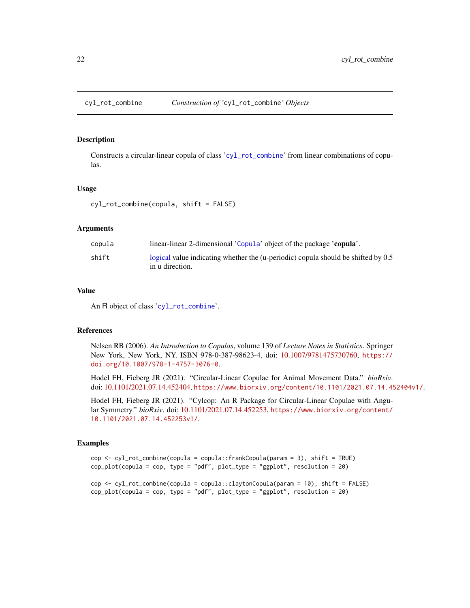#### <span id="page-21-1"></span><span id="page-21-0"></span>Description

Constructs a circular-linear copula of class '[cyl\\_rot\\_combine](#page-22-1)' from linear combinations of copulas.

#### Usage

cyl\_rot\_combine(copula, shift = FALSE)

# Arguments

| copula | linear-linear 2-dimensional 'Copula' object of the package 'copula'.                                 |
|--------|------------------------------------------------------------------------------------------------------|
| shift  | logical value indicating whether the (u-periodic) copula should be shifted by 0.5<br>in u direction. |

# Value

An R object of class '[cyl\\_rot\\_combine](#page-22-1)'.

#### References

Nelsen RB (2006). *An Introduction to Copulas*, volume 139 of *Lecture Notes in Statistics*. Springer New York, New York, NY. ISBN 978-0-387-98623-4, doi: [10.1007/9781475730760,](https://doi.org/10.1007/978-1-4757-3076-0) [https://](https://doi.org/10.1007/978-1-4757-3076-0) [doi.org/10.1007/978-1-4757-3076-0](https://doi.org/10.1007/978-1-4757-3076-0).

Hodel FH, Fieberg JR (2021). "Circular-Linear Copulae for Animal Movement Data." *bioRxiv*. doi: [10.1101/2021.07.14.452404,](https://doi.org/10.1101/2021.07.14.452404) <https://www.biorxiv.org/content/10.1101/2021.07.14.452404v1/>.

Hodel FH, Fieberg JR (2021). "Cylcop: An R Package for Circular-Linear Copulae with Angular Symmetry." *bioRxiv*. doi: [10.1101/2021.07.14.452253,](https://doi.org/10.1101/2021.07.14.452253) [https://www.biorxiv.org/content/](https://www.biorxiv.org/content/10.1101/2021.07.14.452253v1/) [10.1101/2021.07.14.452253v1/](https://www.biorxiv.org/content/10.1101/2021.07.14.452253v1/).

# Examples

```
cop <- cyl_rot_combine(copula = copula::frankCopula(param = 3), shift = TRUE)
cop_plot(copula = cop, type = "pdf", plot_type = "ggplot", resolution = 20)
```

```
cop <- cyl_rot_combine(copula = copula::claytonCopula(param = 10), shift = FALSE)
cop_1bot(copula = cop, type = "pdf", plot_type = "ggplot", resolution = 20)
```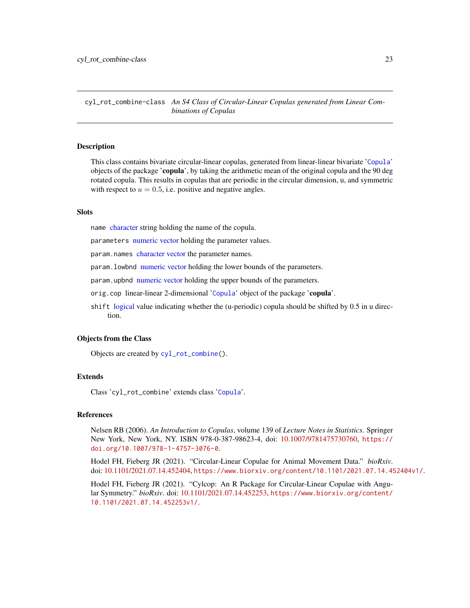<span id="page-22-1"></span><span id="page-22-0"></span>cyl\_rot\_combine-class *An S4 Class of Circular-Linear Copulas generated from Linear Combinations of Copulas*

# Description

This class contains bivariate circular-linear copulas, generated from linear-linear bivariate '[Copula](#page-0-0)' objects of the package 'copula', by taking the arithmetic mean of the original copula and the 90 deg rotated copula. This results in copulas that are periodic in the circular dimension, u, and symmetric with respect to  $u = 0.5$ , i.e. positive and negative angles.

#### Slots

name [character](#page-0-0) string holding the name of the copula.

parameters [numeric](#page-0-0) [vector](#page-0-0) holding the parameter values.

param.names [character](#page-0-0) [vector](#page-0-0) the parameter names.

param.lowbnd [numeric](#page-0-0) [vector](#page-0-0) holding the lower bounds of the parameters.

param.upbnd [numeric](#page-0-0) [vector](#page-0-0) holding the upper bounds of the parameters.

orig.cop linear-linear 2-dimensional '[Copula](#page-0-0)' object of the package 'copula'.

shift [logical](#page-0-0) value indicating whether the (u-periodic) copula should be shifted by 0.5 in u direction.

# Objects from the Class

Objects are created by [cyl\\_rot\\_combine\(](#page-21-1)).

#### Extends

Class 'cyl\_rot\_combine' extends class '[Copula](#page-0-0)'.

#### References

Nelsen RB (2006). *An Introduction to Copulas*, volume 139 of *Lecture Notes in Statistics*. Springer New York, New York, NY. ISBN 978-0-387-98623-4, doi: [10.1007/9781475730760,](https://doi.org/10.1007/978-1-4757-3076-0) [https://](https://doi.org/10.1007/978-1-4757-3076-0) [doi.org/10.1007/978-1-4757-3076-0](https://doi.org/10.1007/978-1-4757-3076-0).

Hodel FH, Fieberg JR (2021). "Circular-Linear Copulae for Animal Movement Data." *bioRxiv*. doi: [10.1101/2021.07.14.452404,](https://doi.org/10.1101/2021.07.14.452404) <https://www.biorxiv.org/content/10.1101/2021.07.14.452404v1/>.

Hodel FH, Fieberg JR (2021). "Cylcop: An R Package for Circular-Linear Copulae with Angular Symmetry." *bioRxiv*. doi: [10.1101/2021.07.14.452253,](https://doi.org/10.1101/2021.07.14.452253) [https://www.biorxiv.org/content/](https://www.biorxiv.org/content/10.1101/2021.07.14.452253v1/) [10.1101/2021.07.14.452253v1/](https://www.biorxiv.org/content/10.1101/2021.07.14.452253v1/).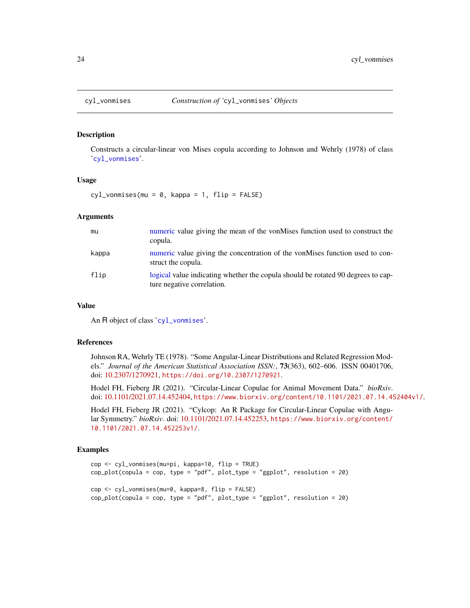# **Description**

Constructs a circular-linear von Mises copula according to Johnson and Wehrly (1978) of class '[cyl\\_vonmises](#page-24-1)'.

#### Usage

cyl\_vonmises(mu = 0, kappa = 1, flip = FALSE)

#### Arguments

| mu    | numeric value giving the mean of the von Mises function used to construct the<br>copula.                       |
|-------|----------------------------------------------------------------------------------------------------------------|
| kappa | numeric value giving the concentration of the vonMises function used to con-<br>struct the copula.             |
| flip  | logical value indicating whether the copula should be rotated 90 degrees to cap-<br>ture negative correlation. |

#### Value

An R object of class '[cyl\\_vonmises](#page-24-1)'.

# References

Johnson RA, Wehrly TE (1978). "Some Angular-Linear Distributions and Related Regression Models." *Journal of the American Statistical Association ISSN:*, 73(363), 602–606. ISSN 00401706, doi: [10.2307/1270921,](https://doi.org/10.2307/1270921) <https://doi.org/10.2307/1270921>.

Hodel FH, Fieberg JR (2021). "Circular-Linear Copulae for Animal Movement Data." *bioRxiv*. doi: [10.1101/2021.07.14.452404,](https://doi.org/10.1101/2021.07.14.452404) <https://www.biorxiv.org/content/10.1101/2021.07.14.452404v1/>.

Hodel FH, Fieberg JR (2021). "Cylcop: An R Package for Circular-Linear Copulae with Angular Symmetry." *bioRxiv*. doi: [10.1101/2021.07.14.452253,](https://doi.org/10.1101/2021.07.14.452253) [https://www.biorxiv.org/content/](https://www.biorxiv.org/content/10.1101/2021.07.14.452253v1/) [10.1101/2021.07.14.452253v1/](https://www.biorxiv.org/content/10.1101/2021.07.14.452253v1/).

# Examples

```
cop <- cyl_vonmises(mu=pi, kappa=10, flip = TRUE)
cop_plot(copula = cop, type = "pdf", plot_type = "ggplot", resolution = 20)
cop <- cyl_vonmises(mu=0, kappa=8, flip = FALSE)
cop_plot(copula = cop, type = "pdf", plot_type = "ggplot", resolution = 20)
```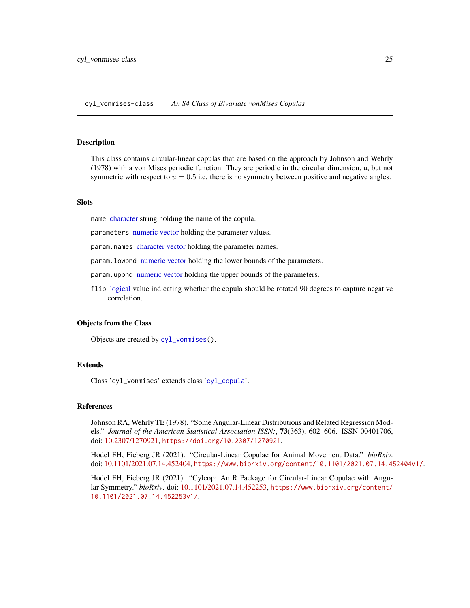<span id="page-24-1"></span><span id="page-24-0"></span>cyl\_vonmises-class *An S4 Class of Bivariate vonMises Copulas*

#### Description

This class contains circular-linear copulas that are based on the approach by Johnson and Wehrly (1978) with a von Mises periodic function. They are periodic in the circular dimension, u, but not symmetric with respect to  $u = 0.5$  i.e. there is no symmetry between positive and negative angles.

#### Slots

name [character](#page-0-0) string holding the name of the copula.

parameters [numeric](#page-0-0) [vector](#page-0-0) holding the parameter values.

param.names [character](#page-0-0) [vector](#page-0-0) holding the parameter names.

param. lowbnd [numeric](#page-0-0) [vector](#page-0-0) holding the lower bounds of the parameters.

param.upbnd [numeric](#page-0-0) [vector](#page-0-0) holding the upper bounds of the parameters.

flip [logical](#page-0-0) value indicating whether the copula should be rotated 90 degrees to capture negative correlation.

#### Objects from the Class

Objects are created by [cyl\\_vonmises\(](#page-23-1)).

# Extends

Class 'cyl\_vonmises' extends class '[cyl\\_copula](#page-13-1)'.

# References

Johnson RA, Wehrly TE (1978). "Some Angular-Linear Distributions and Related Regression Models." *Journal of the American Statistical Association ISSN:*, 73(363), 602–606. ISSN 00401706, doi: [10.2307/1270921,](https://doi.org/10.2307/1270921) <https://doi.org/10.2307/1270921>.

Hodel FH, Fieberg JR (2021). "Circular-Linear Copulae for Animal Movement Data." *bioRxiv*. doi: [10.1101/2021.07.14.452404,](https://doi.org/10.1101/2021.07.14.452404) <https://www.biorxiv.org/content/10.1101/2021.07.14.452404v1/>.

Hodel FH, Fieberg JR (2021). "Cylcop: An R Package for Circular-Linear Copulae with Angular Symmetry." *bioRxiv*. doi: [10.1101/2021.07.14.452253,](https://doi.org/10.1101/2021.07.14.452253) [https://www.biorxiv.org/content/](https://www.biorxiv.org/content/10.1101/2021.07.14.452253v1/) [10.1101/2021.07.14.452253v1/](https://www.biorxiv.org/content/10.1101/2021.07.14.452253v1/).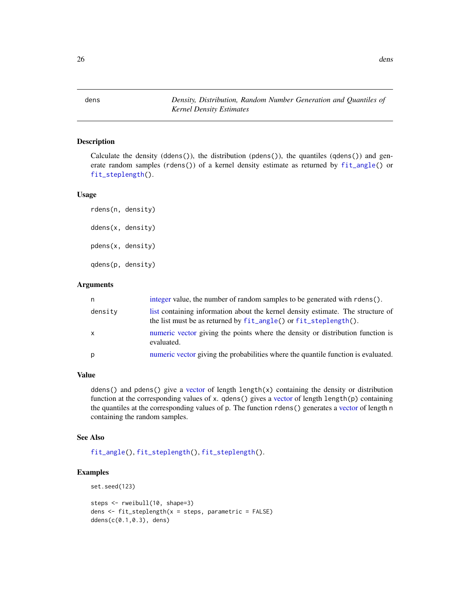<span id="page-25-0"></span>dens *Density, Distribution, Random Number Generation and Quantiles of Kernel Density Estimates*

# Description

Calculate the density (ddens()), the distribution (pdens()), the quantiles (qdens()) and generate random samples (rdens()) of a kernel density estimate as returned by [fit\\_angle\(](#page-26-1)) or [fit\\_steplength\(](#page-28-1)).

## Usage

```
rdens(n, density)
ddens(x, density)
pdens(x, density)
qdens(p, density)
```
#### Arguments

| n       | integer value, the number of random samples to be generated with rdens().                                                                           |
|---------|-----------------------------------------------------------------------------------------------------------------------------------------------------|
| density | list containing information about the kernel density estimate. The structure of<br>the list must be as returned by fit_angle() or fit_steplength(). |
| X       | numeric vector giving the points where the density or distribution function is<br>evaluated.                                                        |
| р       | numeric vector giving the probabilities where the quantile function is evaluated.                                                                   |

# Value

ddens() and pdens() give a [vector](#page-0-0) of length length(x) containing the density or distribution function at the corresponding values of x. qdens() gives a [vector](#page-0-0) of length length(p) containing the quantiles at the corresponding values of p. The function rdens() generates a [vector](#page-0-0) of length n containing the random samples.

## See Also

[fit\\_angle\(](#page-26-1)), [fit\\_steplength\(](#page-28-1)), [fit\\_steplength\(](#page-28-1)).

# Examples

```
set.seed(123)
```

```
steps <- rweibull(10, shape=3)
dens \leq fit_steplength(x = steps, parametric = FALSE)
ddens(c(0.1,0.3), dens)
```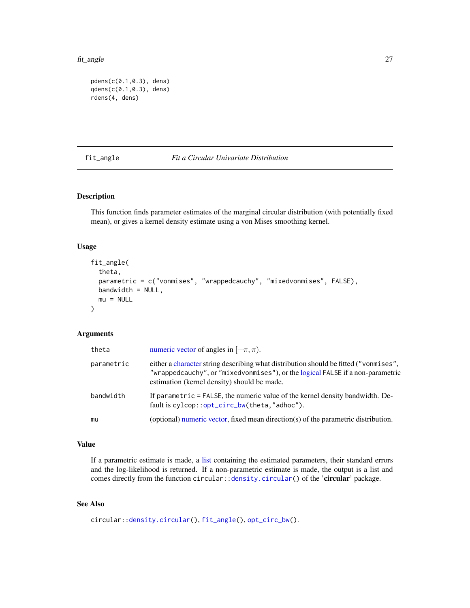#### <span id="page-26-0"></span>fit\_angle 27

```
pdens(c(0.1,0.3), dens)
qdens(c(0.1,0.3), dens)
rdens(4, dens)
```
# <span id="page-26-1"></span>fit\_angle *Fit a Circular Univariate Distribution*

# Description

This function finds parameter estimates of the marginal circular distribution (with potentially fixed mean), or gives a kernel density estimate using a von Mises smoothing kernel.

# Usage

```
fit_angle(
  theta,
  parametric = c("vonmises", "wrappedcauchy", "mixedvonmises", FALSE),
 bandwidth = NULL,mu = NULL)
```
# Arguments

| theta      | numeric vector of angles in $[-\pi, \pi)$ .                                                                                                                                                                           |
|------------|-----------------------------------------------------------------------------------------------------------------------------------------------------------------------------------------------------------------------|
| parametric | either a character string describing what distribution should be fitted ("vonmises",<br>"wrappedcauchy", or "mixedvonmises"), or the logical FALSE if a non-parametric<br>estimation (kernel density) should be made. |
| bandwidth  | If parametric = FALSE, the numeric value of the kernel density bandwidth. De-<br>fault is cylcop::opt_circ_bw(theta,"adhoc").                                                                                         |
| mu         | (optional) numeric vector, fixed mean direction( $s$ ) of the parametric distribution.                                                                                                                                |

# Value

If a parametric estimate is made, a [list](#page-0-0) containing the estimated parameters, their standard errors and the log-likelihood is returned. If a non-parametric estimate is made, the output is a list and comes directly from the function circular:[:density.circular\(](#page-0-0)) of the 'circular' package.

# See Also

```
circular::density.circular(), fit_angle(), opt_circ_bw().
```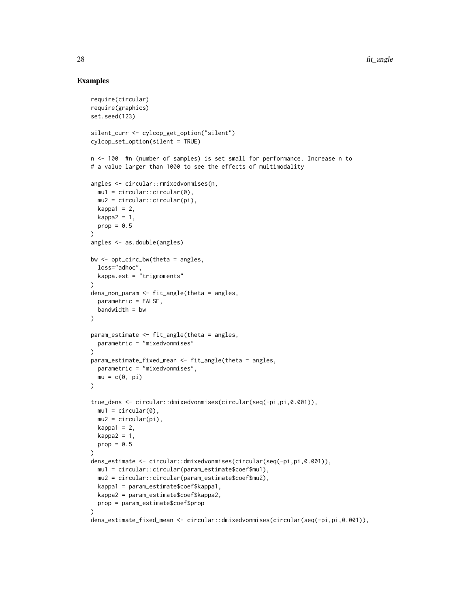# Examples

```
require(circular)
require(graphics)
set.seed(123)
silent_curr <- cylcop_get_option("silent")
cylcop_set_option(silent = TRUE)
n <- 100 #n (number of samples) is set small for performance. Increase n to
# a value larger than 1000 to see the effects of multimodality
angles <- circular::rmixedvonmises(n,
  mu1 = circular::circular(0),mu2 = circular::circular(pi),
  kappa1 = 2,
  kappa2 = 1,
  prop = 0.5\lambdaangles <- as.double(angles)
bw \leq opt_circ_bw(theta = angles,
 loss="adhoc",
 kappa.est = "trigmoments"
\lambdadens_non_param <- fit_angle(theta = angles,
  parameteric = FALSE,bandwidth = bw\lambdaparam_estimate <- fit_angle(theta = angles,
  parametric = "mixedvonmises"
\lambdaparam_estimate_fixed_mean <- fit_angle(theta = angles,
  parametric = "mixedvonmises",
  mu = c(0, pi))
true_dens <- circular::dmixedvonmises(circular(seq(-pi,pi,0.001)),
  mu1 = circular(0),mu2 = circular(pi),kappa1 = 2,
  kappa2 = 1,
  prop = 0.5\lambdadens_estimate <- circular::dmixedvonmises(circular(seq(-pi,pi,0.001)),
  mu1 = circular::circular(param_estimate$coef$mu1),
  mu2 = circular::circular(param_estimate$coef$mu2),
  kappa1 = param_estimate$coef$kappa1,
  kappa2 = param_estimate$coef$kappa2,
  prop = param_estimate$coef$prop
)
dens_estimate_fixed_mean <- circular::dmixedvonmises(circular(seq(-pi,pi,0.001)),
```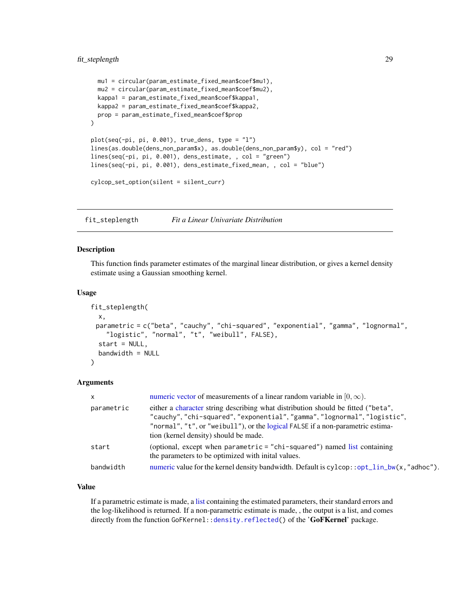# <span id="page-28-0"></span>fit\_steplength 29

```
mu1 = circular(param_estimate_fixed_mean$coef$mu1),
 mu2 = circular(param_estimate_fixed_mean$coef$mu2),
 kappa1 = param_estimate_fixed_mean$coef$kappa1,
 kappa2 = param_estimate_fixed_mean$coef$kappa2,
 prop = param_estimate_fixed_mean$coef$prop
\lambdaplot(seq(-pi, pi, 0.001), true_dens, type = "l")
lines(as.double(dens_non_param$x), as.double(dens_non_param$y), col = "red")
lines(seq(-pi, pi, 0.001), dens_estimate, , col = "green")
lines(seq(-pi, pi, 0.001), dens_estimate_fixed_mean, , col = "blue")
cylcop_set_option(silent = silent_curr)
```
<span id="page-28-1"></span>fit\_steplength *Fit a Linear Univariate Distribution*

# Description

This function finds parameter estimates of the marginal linear distribution, or gives a kernel density estimate using a Gaussian smoothing kernel.

# Usage

```
fit_steplength(
 x,
 parametric = c("beta", "cauchy", "chi-squared", "exponential", "gamma", "lognormal",
    "logistic", "normal", "t", "weibull", FALSE),
  start = NULL,
 bandwidth = NULL
)
```
# Arguments

| $\mathsf{x}$ | numeric vector of measurements of a linear random variable in $[0, \infty)$ .                                                                                                                                                                                                            |
|--------------|------------------------------------------------------------------------------------------------------------------------------------------------------------------------------------------------------------------------------------------------------------------------------------------|
| parametric   | either a character string describing what distribution should be fitted ("beta",<br>"cauchy", "chi-squared", "exponential", "gamma", "lognormal", "logistic",<br>"normal", "t", or "weibull"), or the logical FALSE if a non-parametric estima-<br>tion (kernel density) should be made. |
| start        | (optional, except when parametric $=$ "chi-squared") named list containing<br>the parameters to be optimized with initial values.                                                                                                                                                        |
| bandwidth    | numeric value for the kernel density bandwidth. Default is $c$ ylcop::opt_lin_bw(x,"adhoc").                                                                                                                                                                                             |

# Value

If a parametric estimate is made, a [list](#page-0-0) containing the estimated parameters, their standard errors and the log-likelihood is returned. If a non-parametric estimate is made, , the output is a list, and comes directly from the function GoFKernel:: density.reflected() of the 'GoFKernel' package.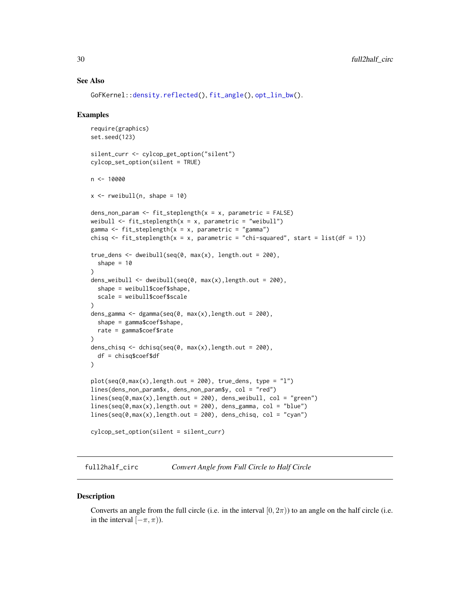# <span id="page-29-0"></span>See Also

```
GoFKernel::density.reflected(), fit_angle(), opt_lin_bw().
```
#### Examples

```
require(graphics)
set.seed(123)
silent_curr <- cylcop_get_option("silent")
cylcop_set_option(silent = TRUE)
n < -10000x \leq - rweibull(n, shape = 10)
dens_non_param <- fit_steplength(x = x, parametric = FALSE)
weibull \le fit_steplength(x = x, parametric = "weibull")
gamma <- fit_steplength(x = x, parametric = "gamma")
chisq \leq fit_steplength(x = x, parametric = "chi-squared", start = list(df = 1))
true_dens <- dweibull(seq(0, max(x), length.out = 200),
  shape = 10)
dens_weibull <- dweibull(seq(0, max(x),length.out = 200),
  shape = weibull$coef$shape,
  scale = weibull$coef$scale
)
dens_gamma <- dgamma(seq(0, max(x),length.out = 200),
  shape = gamma$coef$shape,
  rate = gamma$coef$rate
)
dens_chisq <- dchisq(seq(0, max(x), length.out = 200),
  df = chisq$coef$df
)
plot(seq(\theta, max(x), length.out = 200), true\_dens, type = "l")lines(dens_non_param$x, dens_non_param$y, col = "red")
lines(seq(\theta, max(x), length.out = 200), dens\_weibull, col = "green")lines(seq(\theta, max(x), length.out = 200), dens\_gamma, col = "blue")lines(seq(\theta, max(x), length.out = 200), dens\_chisq, col = "cyan")cylcop_set_option(silent = silent_curr)
```
full2half\_circ *Convert Angle from Full Circle to Half Circle*

#### **Description**

Converts an angle from the full circle (i.e. in the interval  $[0, 2\pi)$ ) to an angle on the half circle (i.e. in the interval  $[-\pi, \pi)$ ).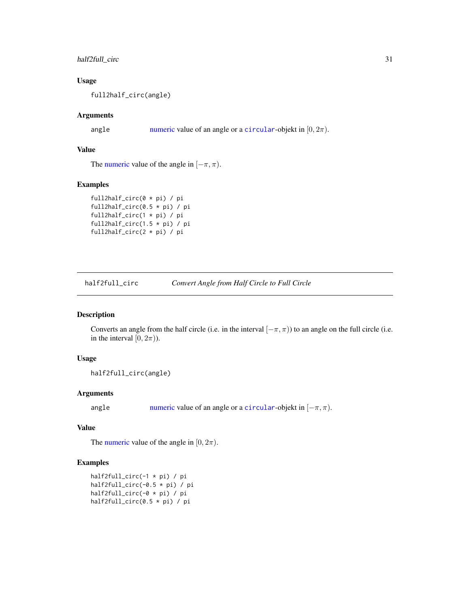# <span id="page-30-0"></span>half2full\_circ 31

# Usage

full2half\_circ(angle)

# Arguments

angle [numeric](#page-0-0) value of an angle or a [circular](#page-0-0)-objekt in  $[0, 2\pi)$ .

# Value

The [numeric](#page-0-0) value of the angle in  $[-\pi, \pi)$ .

#### Examples

```
full2half_circ(0 * pi) / pi
full2half_circ(0.5 * pi) / pi
full2half_circ(1 * pi) / pi
full2half_circ(1.5 * pi) / pi
full2half_circ(2 * pi) / pi
```
half2full\_circ *Convert Angle from Half Circle to Full Circle*

# Description

Converts an angle from the half circle (i.e. in the interval  $[-\pi, \pi)$ ) to an angle on the full circle (i.e. in the interval  $[0, 2\pi)$ .

# Usage

```
half2full_circ(angle)
```
# Arguments

angle [numeric](#page-0-0) value of an angle or a [circular](#page-0-0)-objekt in  $[-\pi, \pi)$ .

# Value

The [numeric](#page-0-0) value of the angle in  $[0, 2\pi)$ .

#### Examples

```
half2full_circ(-1 * pi) / pi
half2full_circ(-0.5 * pi) / pi
half2full_circ(-0 * pi) / pi
half2full_circ(0.5 * pi) / pi
```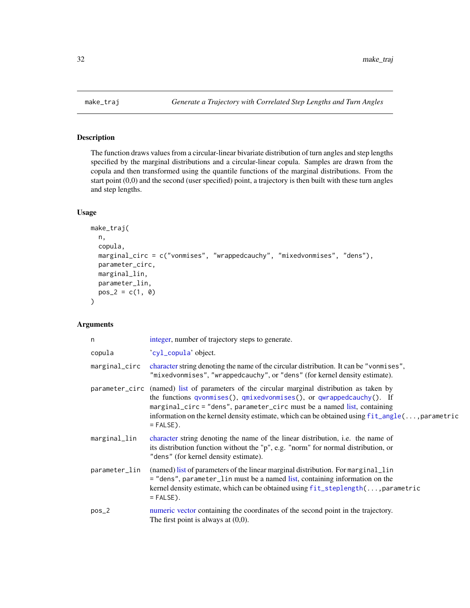<span id="page-31-1"></span><span id="page-31-0"></span>

# Description

The function draws values from a circular-linear bivariate distribution of turn angles and step lengths specified by the marginal distributions and a circular-linear copula. Samples are drawn from the copula and then transformed using the quantile functions of the marginal distributions. From the start point (0,0) and the second (user specified) point, a trajectory is then built with these turn angles and step lengths.

# Usage

```
make_traj(
 n,
  copula,
 marginal_circ = c("vonmises", "wrappedcauchy", "mixedvonmises", "dens"),
 parameter_circ,
 marginal_lin,
 parameter_lin,
 pos_2 = c(1, 0))
```
# Arguments

| n             | integer, number of trajectory steps to generate.                                                                                                                                                                                                                                                                                                                               |
|---------------|--------------------------------------------------------------------------------------------------------------------------------------------------------------------------------------------------------------------------------------------------------------------------------------------------------------------------------------------------------------------------------|
| copula        | 'cyl_copula' object.                                                                                                                                                                                                                                                                                                                                                           |
| marginal_circ | character string denoting the name of the circular distribution. It can be "vonmises",<br>"mixedvonmises", "wrappedcauchy", or "dens" (for kernel density estimate).                                                                                                                                                                                                           |
|               | parameter_circ (named) list of parameters of the circular marginal distribution as taken by<br>the functions qvonmises(), qmixedvonmises(), or qwrappedcauchy(). If<br>marginal_circ = "dens", parameter_circ must be a named list, containing<br>information on the kernel density estimate, which can be obtained using $fit$ <sub>-angle</sub> (, parametric<br>$=$ FALSE). |
| marginal_lin  | character string denoting the name of the linear distribution, i.e. the name of<br>its distribution function without the "p", e.g. "norm" for normal distribution, or<br>"dens" (for kernel density estimate).                                                                                                                                                                 |
| parameter_lin | (named) list of parameters of the linear marginal distribution. For marginal lin<br>= "dens", parameter_lin must be a named list, containing information on the<br>kernel density estimate, which can be obtained using fit_steplength(, parametric<br>$=$ FALSE).                                                                                                             |
| $pos_2$       | numeric vector containing the coordinates of the second point in the trajectory.<br>The first point is always at $(0,0)$ .                                                                                                                                                                                                                                                     |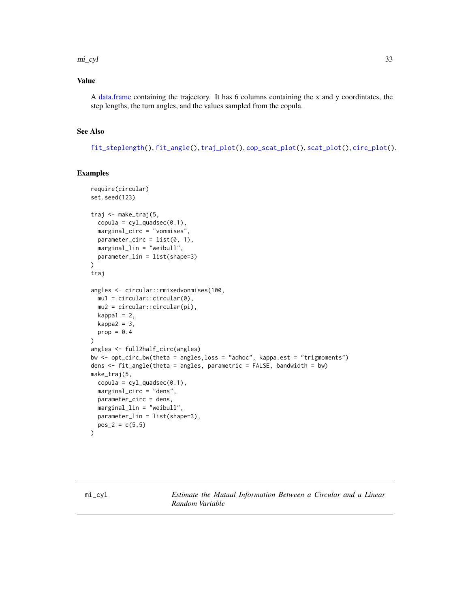#### <span id="page-32-0"></span> $m_{\text{I}}$  and  $m_{\text{I}}$  33

# Value

A [data.frame](#page-0-0) containing the trajectory. It has 6 columns containing the x and y coordintates, the step lengths, the turn angles, and the values sampled from the copula.

# See Also

[fit\\_steplength\(](#page-28-1)), [fit\\_angle\(](#page-26-1)), [traj\\_plot\(](#page-51-1)), [cop\\_scat\\_plot\(](#page-7-1)), [scat\\_plot\(](#page-48-1)), [circ\\_plot\(](#page-5-1)).

# Examples

```
require(circular)
set.seed(123)
traj <- make_traj(5,
 copula = cyl_quadsec(0.1),marginal_circ = "vonmises",
 parameter_circ = list(0, 1),
 marginal_lin = "weibull",
 parameter_lin = list(shape=3)
)
traj
angles <- circular::rmixedvonmises(100,
 mu1 = circular::circular(0),
 mu2 = circular::circular(pi),
 kappa1 = 2,
 kappa2 = 3,
 prop = 0.4)
angles <- full2half_circ(angles)
bw <- opt_circ_bw(theta = angles,loss = "adhoc", kappa.est = "trigmoments")
dens <- fit_angle(theta = angles, parametric = FALSE, bandwidth = bw)
make_traj(5,
 copula = cyl_quadsec(0.1),marginal_circ = "dens",
 parameter_circ = dens,
 marginal_lin = "weibull",
 parameter_lin = list(shape=3),
 pos_2 = c(5,5)\mathcal{L}
```
<span id="page-32-1"></span>mi\_cyl *Estimate the Mutual Information Between a Circular and a Linear Random Variable*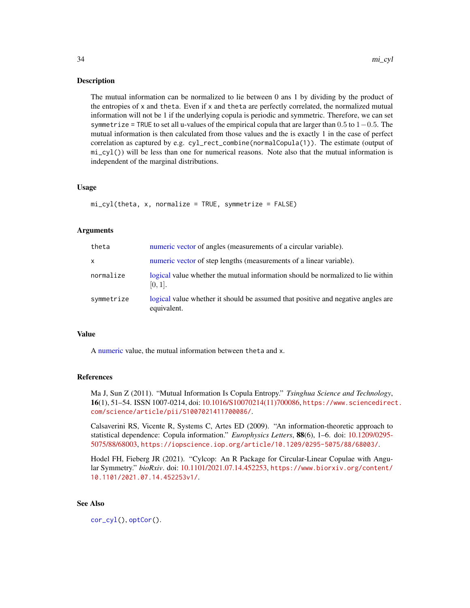# <span id="page-33-0"></span>**Description**

The mutual information can be normalized to lie between 0 ans 1 by dividing by the product of the entropies of x and theta. Even if x and theta are perfectly correlated, the normalized mutual information will not be 1 if the underlying copula is periodic and symmetric. Therefore, we can set symmetrize = TRUE to set all u-values of the empirical copula that are larger than  $0.5$  to  $1-0.5$ . The mutual information is then calculated from those values and the is exactly 1 in the case of perfect correlation as captured by e.g. cyl\_rect\_combine(normalCopula(1)). The estimate (output of mi\_cyl()) will be less than one for numerical reasons. Note also that the mutual information is independent of the marginal distributions.

# Usage

```
mi_cyl(theta, x, normalize = TRUE, symmetrize = FALSE)
```
#### Arguments

| theta      | numeric vector of angles (measurements of a circular variable).                                 |
|------------|-------------------------------------------------------------------------------------------------|
| X          | numeric vector of step lengths (measurements of a linear variable).                             |
| normalize  | logical value whether the mutual information should be normalized to lie within<br>$[0, 1]$ .   |
| symmetrize | logical value whether it should be assumed that positive and negative angles are<br>equivalent. |

#### Value

A [numeric](#page-0-0) value, the mutual information between theta and x.

#### References

Ma J, Sun Z (2011). "Mutual Information Is Copula Entropy." *Tsinghua Science and Technology*, 16(1), 51–54. ISSN 1007-0214, doi: [10.1016/S10070214\(11\)700086,](https://doi.org/10.1016/S1007-0214(11)70008-6) [https://www.sciencedirec](https://www.sciencedirect.com/science/article/pii/S1007021411700086/)t. [com/science/article/pii/S1007021411700086/](https://www.sciencedirect.com/science/article/pii/S1007021411700086/).

Calsaverini RS, Vicente R, Systems C, Artes ED (2009). "An information-theoretic approach to statistical dependence: Copula information." *Europhysics Letters*, 88(6), 1–6. doi: [10.1209/0295-](https://doi.org/10.1209/0295-5075/88/68003) [5075/88/68003,](https://doi.org/10.1209/0295-5075/88/68003) <https://iopscience.iop.org/article/10.1209/0295-5075/88/68003/>.

Hodel FH, Fieberg JR (2021). "Cylcop: An R Package for Circular-Linear Copulae with Angular Symmetry." *bioRxiv*. doi: [10.1101/2021.07.14.452253,](https://doi.org/10.1101/2021.07.14.452253) [https://www.biorxiv.org/content/](https://www.biorxiv.org/content/10.1101/2021.07.14.452253v1/) [10.1101/2021.07.14.452253v1/](https://www.biorxiv.org/content/10.1101/2021.07.14.452253v1/).

# See Also

[cor\\_cyl\(](#page-8-1)), [optCor\(](#page-38-1)).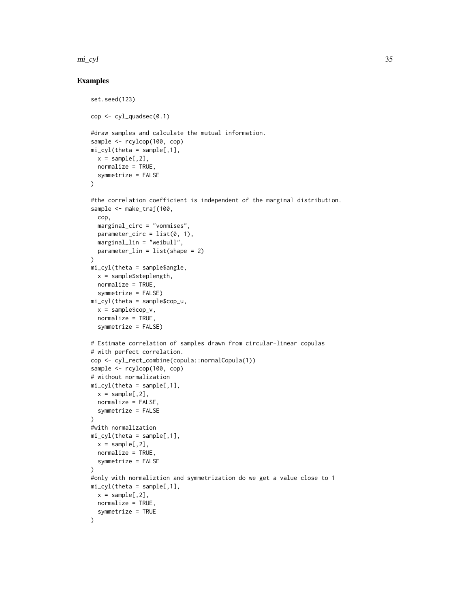#### $m_{\text{I}}$  and  $m_{\text{I}}$  35

# Examples

```
set.seed(123)
cop <- cyl_quadsec(0.1)
#draw samples and calculate the mutual information.
sample <- rcylcop(100, cop)
mi_cyl(theta = sample[, 1],x = sample[, 2],normalize = TRUE.
  symmetrize = FALSE
)
#the correlation coefficient is independent of the marginal distribution.
sample <- make_traj(100,
  cop,
  marginal_circ = "vonmises",
  parameter\_circ = list(0, 1),marginal_lin = "weibull",
  parameter_lin = list(shape = 2)
)
mi_cyl(theta = sample$angle,
  x = sample$steplength,
 normalize = TRUE,
  symmetrize = FALSE)
mi_cyl(theta = sample$cop_u,
  x = sample$cop_v,normalize = TRUE,
  symmetrize = FALSE)
# Estimate correlation of samples drawn from circular-linear copulas
# with perfect correlation.
cop <- cyl_rect_combine(copula::normalCopula(1))
sample <- rcylcop(100, cop)
# without normalization
mi_cyl(theta = sample[, 1],x = sample[, 2],normalize = FALSE,
  symmetrize = FALSE
)
#with normalization
mi_cyl(theta = sample[, 1],x = sample[, 2],normalize = TRUE,
  symmetrize = FALSE
\mathcal{L}#only with normaliztion and symmetrization do we get a value close to 1
mi_cyl(theta = sample[, 1],x = sample[, 2],normalize = TRUE,
  symmetrize = TRUE
)
```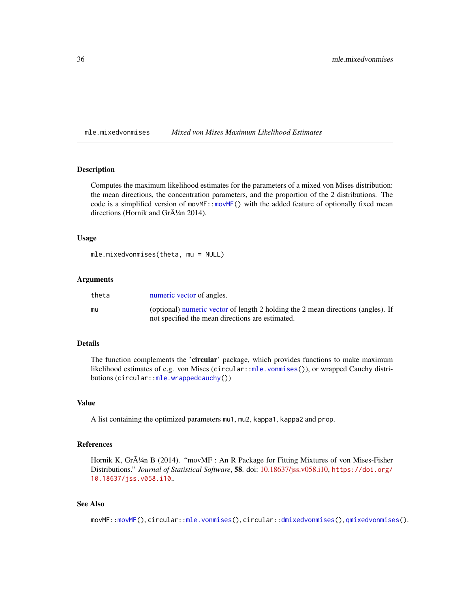<span id="page-35-0"></span>mle.mixedvonmises *Mixed von Mises Maximum Likelihood Estimates*

#### Description

Computes the maximum likelihood estimates for the parameters of a mixed von Mises distribution: the mean directions, the concentration parameters, and the proportion of the 2 distributions. The code is a simplified version of movMF:[:movMF\(](#page-0-0)) with the added feature of optionally fixed mean directions (Hornik and Gr $\tilde{A}^{1/4}$ n 2014).

#### Usage

```
mle.mixedvonmises(theta, mu = NULL)
```
#### Arguments

| theta | numeric vector of angles.                                                                                                            |
|-------|--------------------------------------------------------------------------------------------------------------------------------------|
| mu    | (optional) numeric vector of length 2 holding the 2 mean directions (angles). If<br>not specified the mean directions are estimated. |

# Details

The function complements the 'circular' package, which provides functions to make maximum likelihood estimates of e.g. von Mises (circular:[:mle.vonmises\(](#page-0-0))), or wrapped Cauchy distributions (circular:[:mle.wrappedcauchy\(](#page-0-0)))

# Value

A list containing the optimized parameters mu1, mu2, kappa1, kappa2 and prop.

# References

Hornik K, Gr $\tilde{A}^{1/4}$ n B (2014). "movMF : An R Package for Fitting Mixtures of von Mises-Fisher Distributions." *Journal of Statistical Software*, 58. doi: [10.18637/jss.v058.i10,](https://doi.org/10.18637/jss.v058.i10) [https://doi.org/](https://doi.org/10.18637/jss.v058.i10) [10.18637/jss.v058.i10](https://doi.org/10.18637/jss.v058.i10)..

# See Also

movMF:[:movMF\(](#page-0-0)), circular:[:mle.vonmises\(](#page-0-0)), circular:[:dmixedvonmises\(](#page-0-0)), [qmixedvonmises\(](#page-47-1)).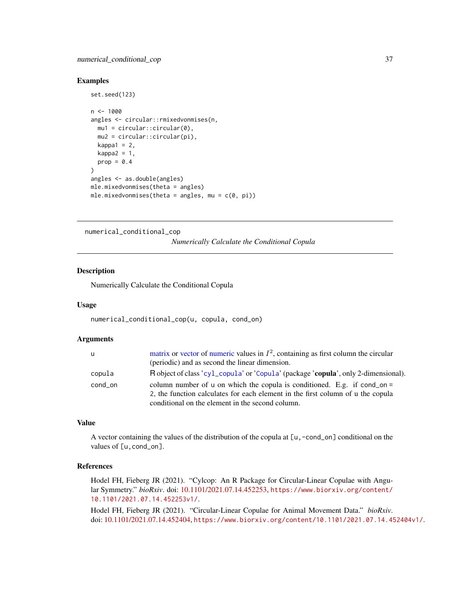# <span id="page-36-0"></span>numerical\_conditional\_cop 37

# Examples

```
set.seed(123)
n < -1000angles <- circular::rmixedvonmises(n,
 mu1 = circular::circular(0),
  mu2 = circular::circular(pi),
  kappa1 = 2,
  kappa2 = 1,
  prop = 0.4)
angles <- as.double(angles)
mle.mixedvonmises(theta = angles)
mle.mixedvonmises(theta = angles, mu = c(\theta, pi))
```
<span id="page-36-1"></span>numerical\_conditional\_cop

*Numerically Calculate the Conditional Copula*

# Description

Numerically Calculate the Conditional Copula

#### Usage

```
numerical_conditional_cop(u, copula, cond_on)
```
# Arguments

| <b>u</b> | matrix or vector of numeric values in $I^2$ , containing as first column the circular |
|----------|---------------------------------------------------------------------------------------|
|          | (periodic) and as second the linear dimension.                                        |
| copula   | R object of class 'cyl_copula' or 'Copula' (package 'copula', only 2-dimensional).    |
| cond_on  | column number of u on which the copula is conditioned. E.g. if cond_on =              |
|          | 2, the function calculates for each element in the first column of u the copula       |
|          | conditional on the element in the second column.                                      |

# Value

A vector containing the values of the distribution of the copula at [u,-cond\_on] conditional on the values of [u, cond\_on].

# References

Hodel FH, Fieberg JR (2021). "Cylcop: An R Package for Circular-Linear Copulae with Angular Symmetry." *bioRxiv*. doi: [10.1101/2021.07.14.452253,](https://doi.org/10.1101/2021.07.14.452253) [https://www.biorxiv.org/content/](https://www.biorxiv.org/content/10.1101/2021.07.14.452253v1/) [10.1101/2021.07.14.452253v1/](https://www.biorxiv.org/content/10.1101/2021.07.14.452253v1/).

Hodel FH, Fieberg JR (2021). "Circular-Linear Copulae for Animal Movement Data." *bioRxiv*. doi: [10.1101/2021.07.14.452404,](https://doi.org/10.1101/2021.07.14.452404) <https://www.biorxiv.org/content/10.1101/2021.07.14.452404v1/>.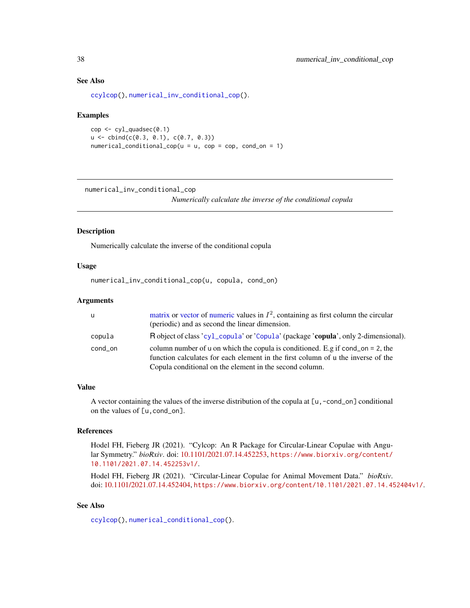# See Also

[ccylcop\(](#page-3-1)), [numerical\\_inv\\_conditional\\_cop\(](#page-37-1)).

#### Examples

```
cop \leftarrow cyl_quadsec(0.1)u \le - \text{cbind}(c(0.3, 0.1), c(0.7, 0.3))numerical\_conditional\_cop(u = u, cop = cop, cond\_on = 1)
```
<span id="page-37-1"></span>numerical\_inv\_conditional\_cop

*Numerically calculate the inverse of the conditional copula*

#### Description

Numerically calculate the inverse of the conditional copula

# Usage

numerical\_inv\_conditional\_cop(u, copula, cond\_on)

#### Arguments

| <b>u</b> | matrix or vector of numeric values in $I^2$ , containing as first column the circular<br>(periodic) and as second the linear dimension.                                                                                       |
|----------|-------------------------------------------------------------------------------------------------------------------------------------------------------------------------------------------------------------------------------|
| copula   | R object of class 'cyl_copula' or 'Copula' (package 'copula', only 2-dimensional).                                                                                                                                            |
| cond_on  | column number of u on which the copula is conditioned. E.g if cond_on = 2, the<br>function calculates for each element in the first column of u the inverse of the<br>Copula conditional on the element in the second column. |

#### Value

A vector containing the values of the inverse distribution of the copula at [u,-cond\_on] conditional on the values of [u,cond\_on].

#### References

Hodel FH, Fieberg JR (2021). "Cylcop: An R Package for Circular-Linear Copulae with Angular Symmetry." *bioRxiv*. doi: [10.1101/2021.07.14.452253,](https://doi.org/10.1101/2021.07.14.452253) [https://www.biorxiv.org/content/](https://www.biorxiv.org/content/10.1101/2021.07.14.452253v1/) [10.1101/2021.07.14.452253v1/](https://www.biorxiv.org/content/10.1101/2021.07.14.452253v1/).

Hodel FH, Fieberg JR (2021). "Circular-Linear Copulae for Animal Movement Data." *bioRxiv*. doi: [10.1101/2021.07.14.452404,](https://doi.org/10.1101/2021.07.14.452404) <https://www.biorxiv.org/content/10.1101/2021.07.14.452404v1/>.

# See Also

[ccylcop\(](#page-3-1)), [numerical\\_conditional\\_cop\(](#page-36-1)).

<span id="page-37-0"></span>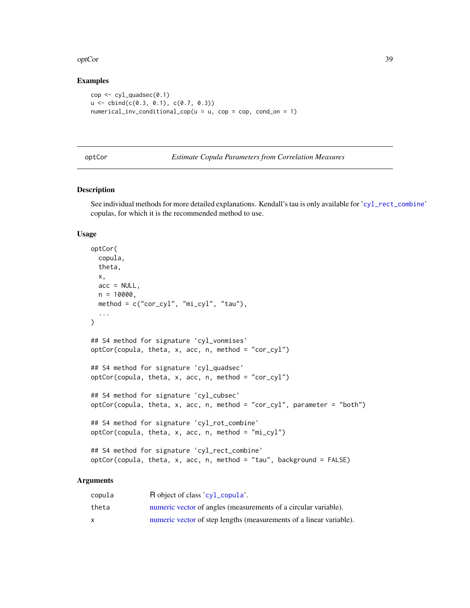#### <span id="page-38-0"></span>optCor 39

# Examples

```
cop \leftarrow cyl_quadsec(0.1)u \leftarrow \text{cbind}(c(0.3, 0.1), c(0.7, 0.3))numerical_inv\_conditional\_cop(u = u, cop = cop, cond\_on = 1)
```
## <span id="page-38-1"></span>optCor *Estimate Copula Parameters from Correlation Measures*

# Description

See individual methods for more detailed explanations. Kendall's tau is only available for '[cyl\\_rect\\_combine](#page-19-1)' copulas, for which it is the recommended method to use.

# Usage

```
optCor(
 copula,
  theta,
 x,
  acc = NULL,n = 10000,method = c("cor_cyl", "mi_cyl", "tau"),
  ...
)
## S4 method for signature 'cyl_vonmises'
optCor(copula, theta, x, acc, n, method = "cor_cyl")
## S4 method for signature 'cyl_quadsec'
optCor(copula, theta, x, acc, n, method = "cor_cyl")## S4 method for signature 'cyl_cubsec'
optCor(copula, theta, x, acc, n, method = "cor_cyl", parameter = "both")## S4 method for signature 'cyl_rot_combine'
optCor(copula, theta, x, acc, n, method = "mi_cyl")## S4 method for signature 'cyl_rect_combine'
optCor(copula, theta, x, acc, n, method = "tau", background = FALSE)
```
# Arguments

| copula | R object of class 'cyl_copula'.                                     |
|--------|---------------------------------------------------------------------|
| theta  | numeric vector of angles (measurements of a circular variable).     |
| X      | numeric vector of step lengths (measurements of a linear variable). |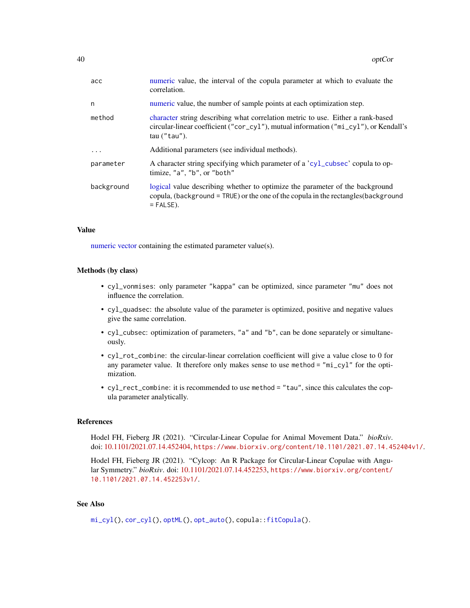<span id="page-39-0"></span>

| acc        | numeric value, the interval of the copula parameter at which to evaluate the<br>correlation.                                                                                                |
|------------|---------------------------------------------------------------------------------------------------------------------------------------------------------------------------------------------|
| n          | numeric value, the number of sample points at each optimization step.                                                                                                                       |
| method     | character string describing what correlation metric to use. Either a rank-based<br>circular-linear coefficient ("cor_cyl"), mutual information ("mi_cyl"), or Kendall's<br>$tau(''tau'')$ . |
| .          | Additional parameters (see individual methods).                                                                                                                                             |
| parameter  | A character string specifying which parameter of a 'cyl_cubsec' copula to op-<br>timize, "a", "b", or "both"                                                                                |
| background | logical value describing whether to optimize the parameter of the background<br>copula, (background = TRUE) or the one of the copula in the rectangles (background<br>$=$ FALSE).           |

#### Value

[numeric](#page-0-0) [vector](#page-0-0) containing the estimated parameter value(s).

# Methods (by class)

- cyl\_vonmises: only parameter "kappa" can be optimized, since parameter "mu" does not influence the correlation.
- cyl\_quadsec: the absolute value of the parameter is optimized, positive and negative values give the same correlation.
- cyl\_cubsec: optimization of parameters, "a" and "b", can be done separately or simultaneously.
- cyl\_rot\_combine: the circular-linear correlation coefficient will give a value close to 0 for any parameter value. It therefore only makes sense to use method = "mi\_cyl" for the optimization.
- cyl\_rect\_combine: it is recommended to use method = "tau", since this calculates the copula parameter analytically.

# References

Hodel FH, Fieberg JR (2021). "Circular-Linear Copulae for Animal Movement Data." *bioRxiv*. doi: [10.1101/2021.07.14.452404,](https://doi.org/10.1101/2021.07.14.452404) <https://www.biorxiv.org/content/10.1101/2021.07.14.452404v1/>.

Hodel FH, Fieberg JR (2021). "Cylcop: An R Package for Circular-Linear Copulae with Angular Symmetry." *bioRxiv*. doi: [10.1101/2021.07.14.452253,](https://doi.org/10.1101/2021.07.14.452253) [https://www.biorxiv.org/content/](https://www.biorxiv.org/content/10.1101/2021.07.14.452253v1/) [10.1101/2021.07.14.452253v1/](https://www.biorxiv.org/content/10.1101/2021.07.14.452253v1/).

# See Also

[mi\\_cyl\(](#page-32-1)), [cor\\_cyl\(](#page-8-1)), [optML\(](#page-40-1)), [opt\\_auto\(](#page-42-1)), copula:[:fitCopula\(](#page-0-0)).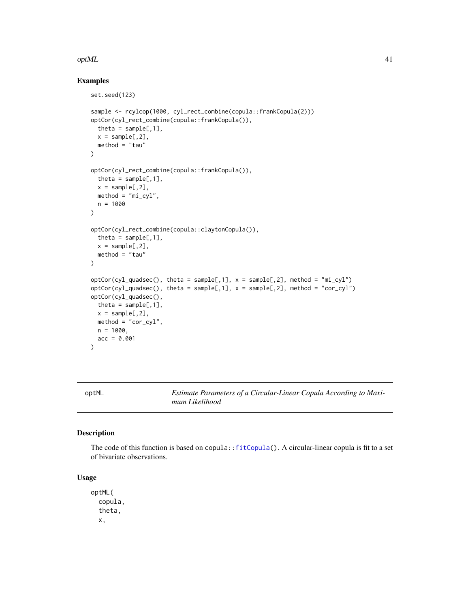#### <span id="page-40-0"></span> $\Omega$  and  $\Omega$  and  $\Omega$  and  $\Omega$  and  $\Omega$  and  $\Omega$  and  $\Omega$  and  $\Omega$  and  $\Omega$  and  $\Omega$  and  $\Omega$  and  $\Omega$  and  $\Omega$  and  $\Omega$  and  $\Omega$  and  $\Omega$  and  $\Omega$  and  $\Omega$  and  $\Omega$  and  $\Omega$  and  $\Omega$  and  $\Omega$  and  $\Omega$  and  $\Omega$  and  $\Omega$

# Examples

```
set.seed(123)
sample <- rcylcop(1000, cyl_rect_combine(copula::frankCopula(2)))
optCor(cyl_rect_combine(copula::frankCopula()),
  theta = sample[, 1],x = sample[, 2],method = "tau")
optCor(cyl_rect_combine(copula::frankCopula()),
  theta = sample[, 1],x = sample[, 2],method = "mi_cyl",n = 1000
)
optCor(cyl_rect_combine(copula::claytonCopula()),
  theta = sample[, 1],x = sample[, 2],method = "tau")
optCor(cyl_quadsec(), theta = sample[,1], x = sample[,2], method = "mi_cyl")
optCor(cyl\_quadsec(), theta = sample[,1], x = sample[,2], method = "cor_cyl")
optCor(cyl_quadsec(),
  theta = sample[, 1],x = sample[, 2],method = "cor_cyl",n = 1000,acc = 0.001)
```
<span id="page-40-1"></span>optML *Estimate Parameters of a Circular-Linear Copula According to Maximum Likelihood*

# Description

The code of this function is based on copula:[:fitCopula\(](#page-0-0)). A circular-linear copula is fit to a set of bivariate observations.

# Usage

optML( copula, theta, x,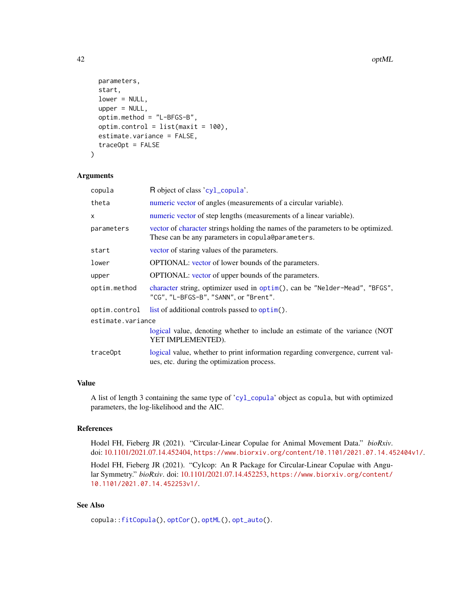42 optML

```
parameters,
  start,
  lower = NULL,upper = NULL,
  optim.method = "L-BFGS-B",
 optim.control = list(maxit = 100),
  estimate.variance = FALSE,
  traceOpt = FALSE
\lambda
```
# Arguments

| R object of class 'cyl_copula'.                                                                                                       |  |  |
|---------------------------------------------------------------------------------------------------------------------------------------|--|--|
| numeric vector of angles (measurements of a circular variable).                                                                       |  |  |
| numeric vector of step lengths (measurements of a linear variable).                                                                   |  |  |
| vector of character strings holding the names of the parameters to be optimized.<br>These can be any parameters in copula@parameters. |  |  |
| vector of staring values of the parameters.                                                                                           |  |  |
| <b>OPTIONAL:</b> vector of lower bounds of the parameters.                                                                            |  |  |
| <b>OPTIONAL:</b> vector of upper bounds of the parameters.                                                                            |  |  |
| character string, optimizer used in optim(), can be "Nelder-Mead", "BFGS",<br>"CG", "L-BFGS-B", "SANN", or "Brent".                   |  |  |
| list of additional controls passed to optim().                                                                                        |  |  |
| estimate.variance                                                                                                                     |  |  |
| logical value, denoting whether to include an estimate of the variance (NOT)<br>YET IMPLEMENTED).                                     |  |  |
| logical value, whether to print information regarding convergence, current val-<br>ues, etc. during the optimization process.         |  |  |
|                                                                                                                                       |  |  |

# Value

A list of length 3 containing the same type of '[cyl\\_copula](#page-13-1)' object as copula, but with optimized parameters, the log-likelihood and the AIC.

# References

Hodel FH, Fieberg JR (2021). "Circular-Linear Copulae for Animal Movement Data." *bioRxiv*. doi: [10.1101/2021.07.14.452404,](https://doi.org/10.1101/2021.07.14.452404) <https://www.biorxiv.org/content/10.1101/2021.07.14.452404v1/>.

Hodel FH, Fieberg JR (2021). "Cylcop: An R Package for Circular-Linear Copulae with Angular Symmetry." *bioRxiv*. doi: [10.1101/2021.07.14.452253,](https://doi.org/10.1101/2021.07.14.452253) [https://www.biorxiv.org/content/](https://www.biorxiv.org/content/10.1101/2021.07.14.452253v1/) [10.1101/2021.07.14.452253v1/](https://www.biorxiv.org/content/10.1101/2021.07.14.452253v1/).

# See Also

copula:[:fitCopula\(](#page-0-0)), [optCor\(](#page-38-1)), [optML\(](#page-40-1)), [opt\\_auto\(](#page-42-1)).

<span id="page-41-0"></span>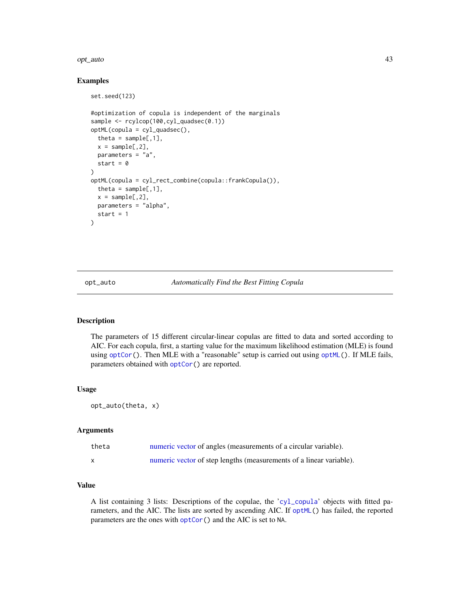#### <span id="page-42-0"></span>opt\_auto 43

# Examples

set.seed(123)

```
#optimization of copula is independent of the marginals
sample <- rcylcop(100,cyl_quadsec(0.1))
optML(copula = cyl_quadsec(),
 theta = sample[, 1],x = sample[, 2],parameters = "a",
 start = \theta\lambdaoptML(copula = cyl_rect_combine(copula::frankCopula()),
 theta = sample[, 1],x = sample[, 2],parameters = "alpha",
 start = 1)
```
<span id="page-42-1"></span>opt\_auto *Automatically Find the Best Fitting Copula*

# Description

The parameters of 15 different circular-linear copulas are fitted to data and sorted according to AIC. For each copula, first, a starting value for the maximum likelihood estimation (MLE) is found using [optCor\(](#page-38-1)). Then MLE with a "reasonable" setup is carried out using [optML\(](#page-40-1)). If MLE fails, parameters obtained with [optCor\(](#page-38-1)) are reported.

#### Usage

opt\_auto(theta, x)

# Arguments

| theta | numeric vector of angles (measurements of a circular variable).     |
|-------|---------------------------------------------------------------------|
|       | numeric vector of step lengths (measurements of a linear variable). |

# Value

A list containing 3 lists: Descriptions of the copulae, the '[cyl\\_copula](#page-13-1)' objects with fitted parameters, and the AIC. The lists are sorted by ascending AIC. If [optML\(](#page-40-1)) has failed, the reported parameters are the ones with [optCor\(](#page-38-1)) and the AIC is set to NA.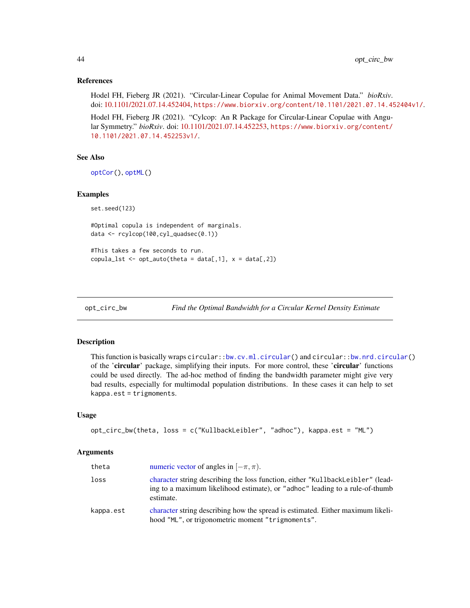# <span id="page-43-0"></span>References

Hodel FH, Fieberg JR (2021). "Circular-Linear Copulae for Animal Movement Data." *bioRxiv*. doi: [10.1101/2021.07.14.452404,](https://doi.org/10.1101/2021.07.14.452404) <https://www.biorxiv.org/content/10.1101/2021.07.14.452404v1/>.

Hodel FH, Fieberg JR (2021). "Cylcop: An R Package for Circular-Linear Copulae with Angular Symmetry." *bioRxiv*. doi: [10.1101/2021.07.14.452253,](https://doi.org/10.1101/2021.07.14.452253) [https://www.biorxiv.org/content/](https://www.biorxiv.org/content/10.1101/2021.07.14.452253v1/) [10.1101/2021.07.14.452253v1/](https://www.biorxiv.org/content/10.1101/2021.07.14.452253v1/).

#### See Also

[optCor\(](#page-38-1)), [optML\(](#page-40-1))

# Examples

set.seed(123)

#Optimal copula is independent of marginals. data <- rcylcop(100,cyl\_quadsec(0.1))

#This takes a few seconds to run. copula\_lst <- opt\_auto(theta = data[,1],  $x = data[$ ,2])

<span id="page-43-1"></span>opt\_circ\_bw *Find the Optimal Bandwidth for a Circular Kernel Density Estimate*

#### Description

This function is basically wraps circular:[:bw.cv.ml.circular\(](#page-0-0)) and circular:[:bw.nrd.circular\(](#page-0-0)) of the 'circular' package, simplifying their inputs. For more control, these 'circular' functions could be used directly. The ad-hoc method of finding the bandwidth parameter might give very bad results, especially for multimodal population distributions. In these cases it can help to set kappa.est = trigmoments.

#### Usage

```
opt_circ_bw(theta, loss = c("KullbackLeibler", "adhoc"), kappa.est = "ML")
```
#### Arguments

| theta     | numeric vector of angles in $[-\pi, \pi)$ .                                                                                                                                 |
|-----------|-----------------------------------------------------------------------------------------------------------------------------------------------------------------------------|
| loss      | character string describing the loss function, either "KullbackLeibler" (lead-<br>ing to a maximum likelihood estimate), or "adhoc" leading to a rule-of-thumb<br>estimate. |
| kappa.est | character string describing how the spread is estimated. Either maximum likeli-<br>hood "ML", or trigonometric moment "trigmoments".                                        |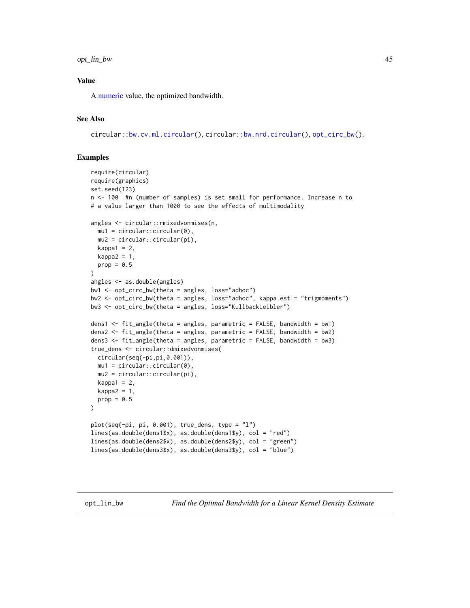# <span id="page-44-0"></span>opt\_lin\_bw 45

# Value

A [numeric](#page-0-0) value, the optimized bandwidth.

# See Also

circular:[:bw.cv.ml.circular\(](#page-0-0)), circular:[:bw.nrd.circular\(](#page-0-0)), [opt\\_circ\\_bw\(](#page-43-1)).

# Examples

```
require(circular)
require(graphics)
set.seed(123)
n <- 100 #n (number of samples) is set small for performance. Increase n to
# a value larger than 1000 to see the effects of multimodality
angles <- circular::rmixedvonmises(n,
  mu1 = circular::circular(0),
  mu2 = circular::circular(pi),
  kappa1 = 2,
  kappa2 = 1,
  prop = 0.5)
angles <- as.double(angles)
bw1 <- opt_circ_bw(theta = angles, loss="adhoc")
bw2 <- opt_circ_bw(theta = angles, loss="adhoc", kappa.est = "trigmoments")
bw3 <- opt_circ_bw(theta = angles, loss="KullbackLeibler")
dens1 <- fit_angle(theta = angles, parametric = FALSE, bandwidth = bw1)
dens2 <- fit_angle(theta = angles, parametric = FALSE, bandwidth = bw2)
dens3 <- fit_angle(theta = angles, parametric = FALSE, bandwidth = bw3)
true_dens <- circular::dmixedvonmises(
  circular(seq(-pi,pi,0.001)),
  mu1 = circular::circular(0),
  mu2 = circular::circular(pi),
  kappa1 = 2,
  kappa2 = 1,
  prop = 0.5\mathcal{L}plot(seq(-pi, pi, 0.001), true_dens, type = "l")
lines(as.double(dens1$x), as.double(dens1$y), col = "red")
lines(as.double(dens2$x), as.double(dens2$y), col = "green")
lines(as.double(dens3$x), as.double(dens3$y), col = "blue")
```
<span id="page-44-1"></span>opt\_lin\_bw *Find the Optimal Bandwidth for a Linear Kernel Density Estimate*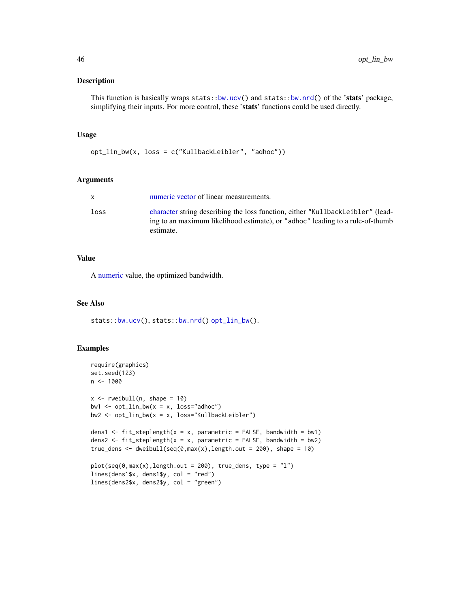# <span id="page-45-0"></span>Description

This function is basically wraps stats:[:bw.ucv\(](#page-0-0)) and stats:[:bw.nrd\(](#page-0-0)) of the 'stats' package, simplifying their inputs. For more control, these 'stats' functions could be used directly.

# Usage

opt\_lin\_bw(x, loss = c("KullbackLeibler", "adhoc"))

#### Arguments

|      | numeric vector of linear measurements.                                                                                                                                       |
|------|------------------------------------------------------------------------------------------------------------------------------------------------------------------------------|
| loss | character string describing the loss function, either "KullbackLeibler" (lead-<br>ing to an maximum likelihood estimate), or "adhoc" leading to a rule-of-thumb<br>estimate. |

# Value

A [numeric](#page-0-0) value, the optimized bandwidth.

# See Also

stats:[:bw.ucv\(](#page-0-0)), stats:[:bw.nrd\(](#page-0-0)) [opt\\_lin\\_bw\(](#page-44-1)).

#### Examples

```
require(graphics)
set.seed(123)
n < - 1000x \leftarrow \text{rweibull}(n, \text{ shape} = 10)bw1 \leftarrow opt_lin_bw(x = x, loss="adhoc")
bw2 \leftarrow opt\_lin_bw(x = x, loss='KullbackLeibler")dens1 <- fit_steplength(x = x, parametric = FALSE, bandwidth = bw1)
dens2 <- fit_steplength(x = x, parametric = FALSE, bandwidth = bw2)
true_dens <- dweibull(seq(0,max(x),length.out = 200), shape = 10)
plot(seq(\theta, max(x), length.out = 200), true\_dens, type = "l")lines(dens1$x, dens1$y, col = "red")
lines(dens2$x, dens2$y, col = "green")
```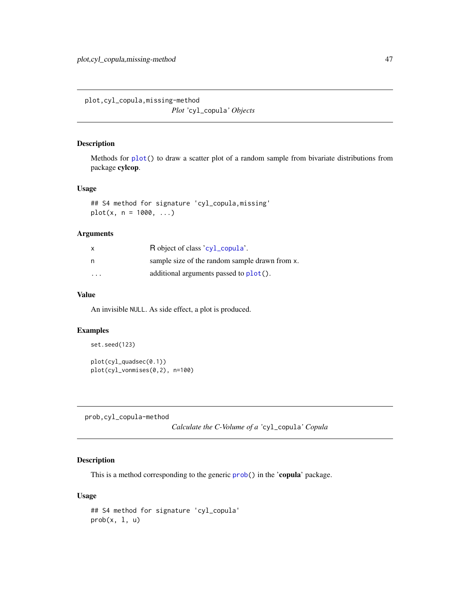<span id="page-46-0"></span>plot,cyl\_copula,missing-method *Plot '*cyl\_copula*' Objects*

# Description

Methods for [plot\(](#page-0-0)) to draw a scatter plot of a random sample from bivariate distributions from package cylcop.

#### Usage

## S4 method for signature 'cyl\_copula,missing'  $plot(x, n = 1000, ...)$ 

# Arguments

| $\mathsf{x}$ | R object of class 'cyl_copula'.                |
|--------------|------------------------------------------------|
| n            | sample size of the random sample drawn from x. |
| .            | additional arguments passed to plot().         |

# Value

An invisible NULL. As side effect, a plot is produced.

# Examples

```
set.seed(123)
plot(cyl_quadsec(0.1))
plot(cyl_vonmises(0,2), n=100)
```
prob,cyl\_copula-method

*Calculate the C-Volume of a '*cyl\_copula*' Copula*

# <span id="page-46-1"></span>Description

This is a method corresponding to the generic [prob\(](#page-46-1)) in the 'copula' package.

#### Usage

```
## S4 method for signature 'cyl_copula'
prob(x, 1, u)
```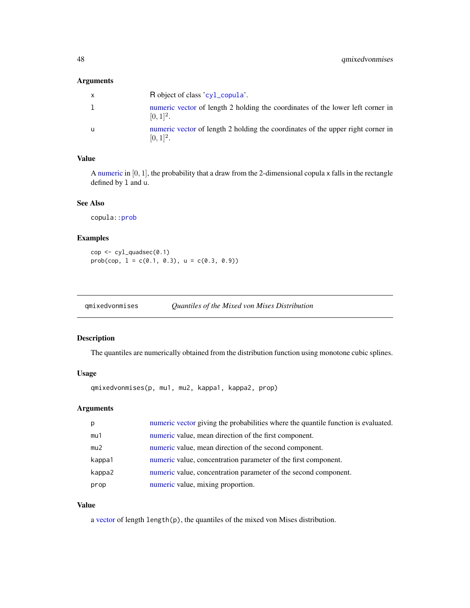# <span id="page-47-0"></span>Arguments

|   | R object of class 'cyl_copula'.                                                                 |
|---|-------------------------------------------------------------------------------------------------|
|   | numeric vector of length 2 holding the coordinates of the lower left corner in<br>$[0, 1]^2$ .  |
| u | numeric vector of length 2 holding the coordinates of the upper right corner in<br>$[0, 1]^2$ . |

# Value

A [numeric](#page-0-0) in  $[0, 1]$ , the probability that a draw from the 2-dimensional copula x falls in the rectangle defined by l and u.

# See Also

copula:[:prob](#page-46-1)

# Examples

cop <- cyl\_quadsec(0.1) prob(cop,  $l = c(0.1, 0.3)$ ,  $u = c(0.3, 0.9)$ )

<span id="page-47-1"></span>

| gmixedvonmises | Quantiles of the Mixed von Mises Distribution |  |
|----------------|-----------------------------------------------|--|
|                |                                               |  |

# Description

The quantiles are numerically obtained from the distribution function using monotone cubic splines.

# Usage

qmixedvonmises(p, mu1, mu2, kappa1, kappa2, prop)

# Arguments

| p      | numeric vector giving the probabilities where the quantile function is evaluated. |
|--------|-----------------------------------------------------------------------------------|
| mu1    | numeric value, mean direction of the first component.                             |
| mu2    | numeric value, mean direction of the second component.                            |
| kappa1 | numeric value, concentration parameter of the first component.                    |
| kappa2 | numeric value, concentration parameter of the second component.                   |
| prop   | numeric value, mixing proportion.                                                 |

# Value

a [vector](#page-0-0) of length length(p), the quantiles of the mixed von Mises distribution.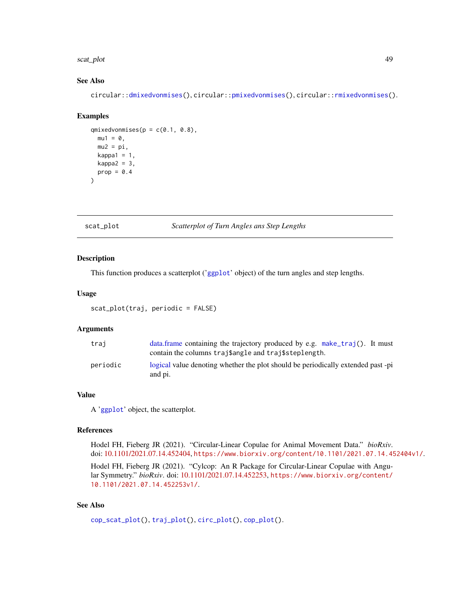#### <span id="page-48-0"></span>scat\_plot 49

# See Also

circular:[:dmixedvonmises\(](#page-0-0)), circular:[:pmixedvonmises\(](#page-0-0)), circular:[:rmixedvonmises\(](#page-0-0)).

#### Examples

```
qmixedvonmises(p = c(0.1, 0.8),
  mu1 = 0,
  mu2 = pi,
  kappa1 = 1,
  kappa2 = 3,
  prop = 0.4)
```
<span id="page-48-1"></span>scat\_plot *Scatterplot of Turn Angles ans Step Lengths*

#### Description

This function produces a scatterplot ('[ggplot](#page-0-0)' object) of the turn angles and step lengths.

# Usage

scat\_plot(traj, periodic = FALSE)

# Arguments

| trai     | data.frame containing the trajectory produced by e.g. make_traj(). It must<br>contain the columns trajsangle and trajssteplength. |
|----------|-----------------------------------------------------------------------------------------------------------------------------------|
| periodic | logical value denoting whether the plot should be periodically extended past -pi<br>and pi.                                       |

#### Value

A '[ggplot](#page-0-0)' object, the scatterplot.

# References

Hodel FH, Fieberg JR (2021). "Circular-Linear Copulae for Animal Movement Data." *bioRxiv*. doi: [10.1101/2021.07.14.452404,](https://doi.org/10.1101/2021.07.14.452404) <https://www.biorxiv.org/content/10.1101/2021.07.14.452404v1/>.

Hodel FH, Fieberg JR (2021). "Cylcop: An R Package for Circular-Linear Copulae with Angular Symmetry." *bioRxiv*. doi: [10.1101/2021.07.14.452253,](https://doi.org/10.1101/2021.07.14.452253) [https://www.biorxiv.org/content/](https://www.biorxiv.org/content/10.1101/2021.07.14.452253v1/) [10.1101/2021.07.14.452253v1/](https://www.biorxiv.org/content/10.1101/2021.07.14.452253v1/).

# See Also

```
cop_scat_plot(), traj_plot(), circ_plot(), cop_plot().
```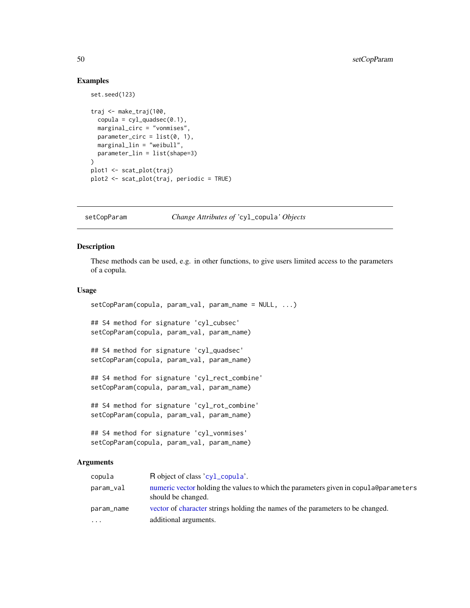# Examples

set.seed(123)

```
traj <- make_traj(100,
  copula = cyl_quadsec(0.1),marginal_circ = "vonmises",
 parameter_circ = list(0, 1),
  marginal_lin = "weibull",
  parameter_lin = list(shape=3)
)
plot1 <- scat_plot(traj)
plot2 <- scat_plot(traj, periodic = TRUE)
```
setCopParam *Change Attributes of '*cyl\_copula*' Objects*

# Description

These methods can be used, e.g. in other functions, to give users limited access to the parameters of a copula.

# Usage

```
setCopParam(copula, param_val, param_name = NULL, ...)
```
## S4 method for signature 'cyl\_cubsec' setCopParam(copula, param\_val, param\_name)

## S4 method for signature 'cyl\_quadsec' setCopParam(copula, param\_val, param\_name)

## S4 method for signature 'cyl\_rect\_combine' setCopParam(copula, param\_val, param\_name)

## S4 method for signature 'cyl\_rot\_combine' setCopParam(copula, param\_val, param\_name)

```
## S4 method for signature 'cyl_vonmises'
setCopParam(copula, param_val, param_name)
```
# Arguments

| copula     | R object of class 'cyl_copula'.                                                                            |
|------------|------------------------------------------------------------------------------------------------------------|
| param_val  | numeric vector holding the values to which the parameters given in copula@parameters<br>should be changed. |
| param_name | vector of character strings holding the names of the parameters to be changed.                             |
| .          | additional arguments.                                                                                      |

<span id="page-49-0"></span>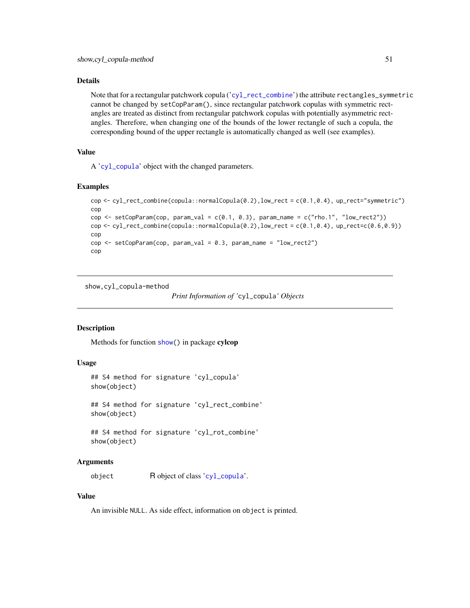# <span id="page-50-0"></span>Details

Note that for a rectangular patchwork copula ('[cyl\\_rect\\_combine](#page-19-1)') the attribute rectangles\_symmetric cannot be changed by setCopParam(), since rectangular patchwork copulas with symmetric rectangles are treated as distinct from rectangular patchwork copulas with potentially asymmetric rectangles. Therefore, when changing one of the bounds of the lower rectangle of such a copula, the corresponding bound of the upper rectangle is automatically changed as well (see examples).

# Value

A '[cyl\\_copula](#page-13-1)' object with the changed parameters.

#### Examples

```
cop <- cyl_rect_combine(copula::normalCopula(0.2),low_rect = c(0.1,0.4), up_rect="symmetric")
cop
cop <- setCopParam(cop, param_val = c(0.1, 0.3), param_name = c("rho.1", "low\_rect2"))
cop <- cyl_rect_combine(copula::normalCopula(0.2),low_rect = c(0.1, 0.4), up_rect=c(0.6,0.9))
cop
cop \le setCopParam(cop, param_val = 0.3, param_name = "low_rect2")
cop
```
show,cyl\_copula-method

```
Print Information of 'cyl_copula' Objects
```
# **Description**

Methods for function [show\(](#page-0-0)) in package cylcop

# Usage

```
## S4 method for signature 'cyl_copula'
show(object)
```
## S4 method for signature 'cyl\_rect\_combine' show(object)

## S4 method for signature 'cyl\_rot\_combine' show(object)

# Arguments

object R object of class '[cyl\\_copula](#page-13-1)'.

#### Value

An invisible NULL. As side effect, information on object is printed.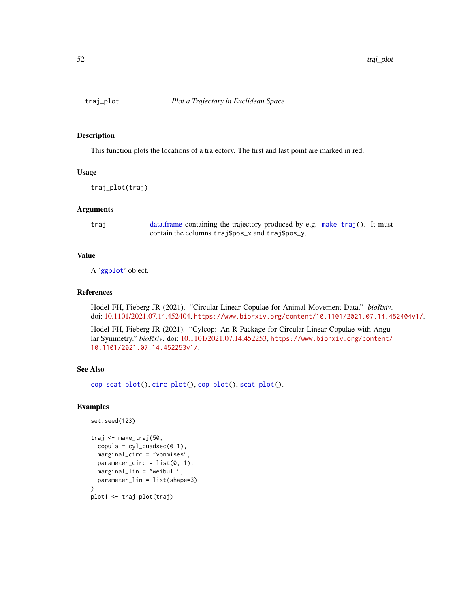<span id="page-51-1"></span><span id="page-51-0"></span>

# Description

This function plots the locations of a trajectory. The first and last point are marked in red.

# Usage

traj\_plot(traj)

# Arguments

traj [data.frame](#page-0-0) containing the trajectory produced by e.g. [make\\_traj\(](#page-31-1)). It must contain the columns traj\$pos\_x and traj\$pos\_y.

# Value

A '[ggplot](#page-0-0)' object.

# References

Hodel FH, Fieberg JR (2021). "Circular-Linear Copulae for Animal Movement Data." *bioRxiv*. doi: [10.1101/2021.07.14.452404,](https://doi.org/10.1101/2021.07.14.452404) <https://www.biorxiv.org/content/10.1101/2021.07.14.452404v1/>.

Hodel FH, Fieberg JR (2021). "Cylcop: An R Package for Circular-Linear Copulae with Angular Symmetry." *bioRxiv*. doi: [10.1101/2021.07.14.452253,](https://doi.org/10.1101/2021.07.14.452253) [https://www.biorxiv.org/content/](https://www.biorxiv.org/content/10.1101/2021.07.14.452253v1/) [10.1101/2021.07.14.452253v1/](https://www.biorxiv.org/content/10.1101/2021.07.14.452253v1/).

# See Also

[cop\\_scat\\_plot\(](#page-7-1)), [circ\\_plot\(](#page-5-1)), [cop\\_plot\(](#page-6-1)), [scat\\_plot\(](#page-48-1)).

#### Examples

```
set.seed(123)
traj <- make_traj(50,
 copula = cyl_quadsec(0.1),marginal_circ = "vonmises",
 parameter_circ = list(0, 1),
 marginal_lin = "weibull",
 parameter_lin = list(shape=3)
)
plot1 <- traj_plot(traj)
```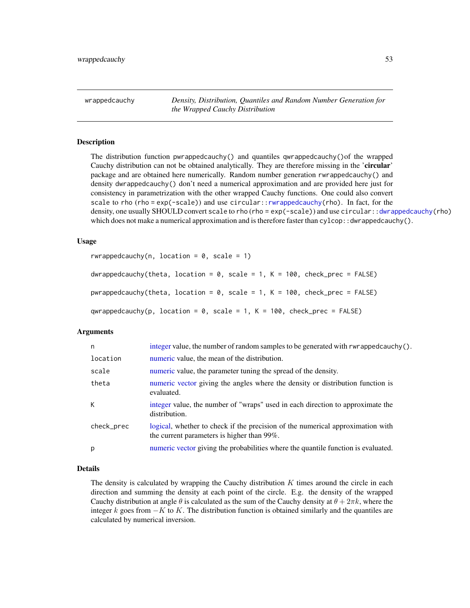<span id="page-52-0"></span>wrappedcauchy *Density, Distribution, Quantiles and Random Number Generation for the Wrapped Cauchy Distribution*

# <span id="page-52-1"></span>**Description**

The distribution function pwrappedcauchy() and quantiles qwrappedcauchy()of the wrapped Cauchy distribution can not be obtained analytically. They are therefore missing in the 'circular' package and are obtained here numerically. Random number generation rwrappedcauchy() and density dwrappedcauchy() don't need a numerical approximation and are provided here just for consistency in parametrization with the other wrapped Cauchy functions. One could also convert scale to rho (rho = exp(-scale)) and use circular:[:rwrappedcauchy\(](#page-52-1)rho). In fact, for the density, one usually SHOULD convert scale to rho (rho = exp(-scale)) and use circular:[:dwrappedcauchy\(](#page-52-1)rho) which does not make a numerical approximation and is therefore faster than  $cy1cop:$ : dwrappedcauchy().

# Usage

```
rwrappedcauchy(n, location = 0, scale = 1)dwrappedcauchy(theta, location = 0, scale = 1, K = 100, check_prec = FALSE)
```

```
pwrappedcauchy(theta, location = \theta, scale = 1, K = 100, check_prec = FALSE)
```
qwrappedcauchy(p, location =  $\theta$ , scale = 1, K = 100, check\_prec = FALSE)

#### Arguments

| n          | integer value, the number of random samples to be generated with rwrappedcauchy().                                           |
|------------|------------------------------------------------------------------------------------------------------------------------------|
| location   | numeric value, the mean of the distribution.                                                                                 |
| scale      | numeric value, the parameter tuning the spread of the density.                                                               |
| theta      | numeric vector giving the angles where the density or distribution function is<br>evaluated.                                 |
| К          | integer value, the number of "wraps" used in each direction to approximate the<br>distribution.                              |
| check_prec | logical, whether to check if the precision of the numerical approximation with<br>the current parameters is higher than 99%. |
| p          | numeric vector giving the probabilities where the quantile function is evaluated.                                            |

# Details

The density is calculated by wrapping the Cauchy distribution  $K$  times around the circle in each direction and summing the density at each point of the circle. E.g. the density of the wrapped Cauchy distribution at angle  $\theta$  is calculated as the sum of the Cauchy density at  $\theta + 2\pi k$ , where the integer k goes from  $-K$  to K. The distribution function is obtained similarly and the quantiles are calculated by numerical inversion.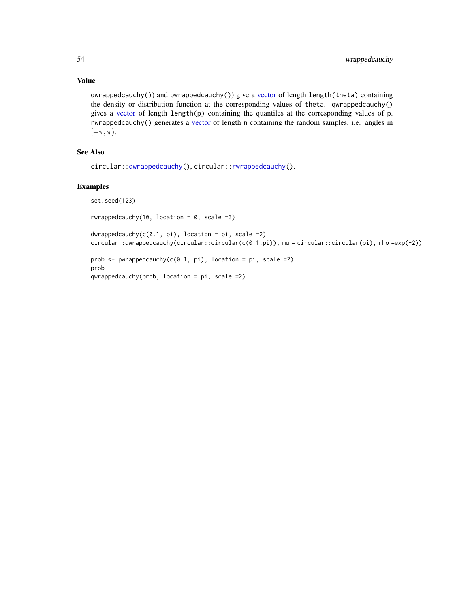# Value

dwrappedcauchy()) and pwrappedcauchy()) give a [vector](#page-0-0) of length length(theta) containing the density or distribution function at the corresponding values of theta. qwrappedcauchy() gives a [vector](#page-0-0) of length length $(p)$  containing the quantiles at the corresponding values of p. rwrappedcauchy() generates a [vector](#page-0-0) of length n containing the random samples, i.e. angles in  $[-\pi, \pi)$ .

# See Also

```
circular::dwrappedcauchy(), circular::rwrappedcauchy().
```
# Examples

set.seed(123)

rwrappedcauchy(10, location =  $0$ , scale = 3)

 $dw$ rappedcauchy(c(0.1, pi), location = pi, scale =2) circular::dwrappedcauchy(circular::circular(c(0.1,pi)), mu = circular::circular(pi), rho =exp(-2))

prob  $\leq$  pwrappedcauchy(c(0.1, pi), location = pi, scale =2) prob qwrappedcauchy(prob, location = pi, scale =2)

<span id="page-53-0"></span>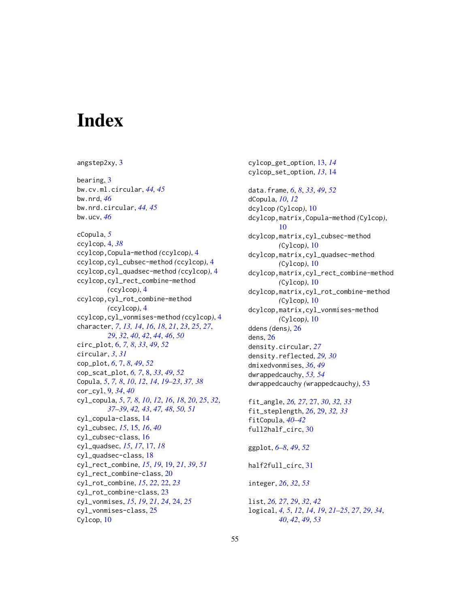# <span id="page-54-0"></span>**Index**

angstep2xy, [3](#page-2-0) bearing, [3](#page-2-0) bw.cv.ml.circular, *[44,](#page-43-0) [45](#page-44-0)* bw.nrd, *[46](#page-45-0)* bw.nrd.circular, *[44,](#page-43-0) [45](#page-44-0)* bw.ucv, *[46](#page-45-0)* cCopula, *[5](#page-4-0)* ccylcop, [4,](#page-3-0) *[38](#page-37-0)* ccylcop,Copula-method *(*ccylcop*)*, [4](#page-3-0) ccylcop,cyl\_cubsec-method *(*ccylcop*)*, [4](#page-3-0) ccylcop,cyl\_quadsec-method *(*ccylcop*)*, [4](#page-3-0) ccylcop,cyl\_rect\_combine-method *(*ccylcop*)*, [4](#page-3-0) ccylcop,cyl\_rot\_combine-method *(*ccylcop*)*, [4](#page-3-0) ccylcop,cyl\_vonmises-method *(*ccylcop*)*, [4](#page-3-0) character, *[7](#page-6-0)*, *[13,](#page-12-0) [14](#page-13-0)*, *[16](#page-15-0)*, *[18](#page-17-0)*, *[21](#page-20-0)*, *[23](#page-22-0)*, *[25](#page-24-0)*, *[27](#page-26-0)*, *[29](#page-28-0)*, *[32](#page-31-0)*, *[40](#page-39-0)*, *[42](#page-41-0)*, *[44](#page-43-0)*, *[46](#page-45-0)*, *[50](#page-49-0)* circ\_plot, [6,](#page-5-0) *[7,](#page-6-0) [8](#page-7-0)*, *[33](#page-32-0)*, *[49](#page-48-0)*, *[52](#page-51-0)* circular, *[3](#page-2-0)*, *[31](#page-30-0)* cop\_plot, *[6](#page-5-0)*, [7,](#page-6-0) *[8](#page-7-0)*, *[49](#page-48-0)*, *[52](#page-51-0)* cop\_scat\_plot, *[6,](#page-5-0) [7](#page-6-0)*, [8,](#page-7-0) *[33](#page-32-0)*, *[49](#page-48-0)*, *[52](#page-51-0)* Copula, *[5](#page-4-0)*, *[7,](#page-6-0) [8](#page-7-0)*, *[10](#page-9-0)*, *[12](#page-11-0)*, *[14](#page-13-0)*, *[19–](#page-18-0)[23](#page-22-0)*, *[37,](#page-36-0) [38](#page-37-0)* cor\_cyl, [9,](#page-8-0) *[34](#page-33-0)*, *[40](#page-39-0)* cyl\_copula, *[5](#page-4-0)*, *[7,](#page-6-0) [8](#page-7-0)*, *[10](#page-9-0)*, *[12](#page-11-0)*, *[16](#page-15-0)*, *[18](#page-17-0)*, *[20](#page-19-0)*, *[25](#page-24-0)*, *[32](#page-31-0)*, *[37](#page-36-0)[–39](#page-38-0)*, *[42,](#page-41-0) [43](#page-42-0)*, *[47,](#page-46-0) [48](#page-47-0)*, *[50,](#page-49-0) [51](#page-50-0)* cyl\_copula-class, [14](#page-13-0) cyl\_cubsec, *[15](#page-14-0)*, [15,](#page-14-0) *[16](#page-15-0)*, *[40](#page-39-0)* cyl\_cubsec-class, [16](#page-15-0) cyl\_quadsec, *[15](#page-14-0)*, *[17](#page-16-0)*, [17,](#page-16-0) *[18](#page-17-0)* cyl\_quadsec-class, [18](#page-17-0) cyl\_rect\_combine, *[15](#page-14-0)*, *[19](#page-18-0)*, [19,](#page-18-0) *[21](#page-20-0)*, *[39](#page-38-0)*, *[51](#page-50-0)* cyl\_rect\_combine-class, [20](#page-19-0) cyl\_rot\_combine, *[15](#page-14-0)*, *[22](#page-21-0)*, [22,](#page-21-0) *[23](#page-22-0)* cyl\_rot\_combine-class, [23](#page-22-0) cyl\_vonmises, *[15](#page-14-0)*, *[19](#page-18-0)*, *[21](#page-20-0)*, *[24](#page-23-0)*, [24,](#page-23-0) *[25](#page-24-0)* cyl\_vonmises-class, [25](#page-24-0) Cylcop, [10](#page-9-0)

cylcop\_get\_option, [13,](#page-12-0) *[14](#page-13-0)* cylcop\_set\_option, *[13](#page-12-0)*, [14](#page-13-0) data.frame, *[6](#page-5-0)*, *[8](#page-7-0)*, *[33](#page-32-0)*, *[49](#page-48-0)*, *[52](#page-51-0)* dCopula, *[10](#page-9-0)*, *[12](#page-11-0)* dcylcop *(*Cylcop*)*, [10](#page-9-0) dcylcop,matrix,Copula-method *(*Cylcop*)*, [10](#page-9-0) dcylcop,matrix,cyl\_cubsec-method *(*Cylcop*)*, [10](#page-9-0) dcylcop,matrix,cyl\_quadsec-method *(*Cylcop*)*, [10](#page-9-0) dcylcop,matrix,cyl\_rect\_combine-method *(*Cylcop*)*, [10](#page-9-0) dcylcop,matrix,cyl\_rot\_combine-method *(*Cylcop*)*, [10](#page-9-0) dcylcop,matrix,cyl\_vonmises-method *(*Cylcop*)*, [10](#page-9-0) ddens *(*dens*)*, [26](#page-25-0) dens, [26](#page-25-0) density.circular, *[27](#page-26-0)* density.reflected, *[29,](#page-28-0) [30](#page-29-0)* dmixedvonmises, *[36](#page-35-0)*, *[49](#page-48-0)* dwrappedcauchy, *[53,](#page-52-0) [54](#page-53-0)* dwrappedcauchy *(*wrappedcauchy*)*, [53](#page-52-0) fit\_angle, *[26,](#page-25-0) [27](#page-26-0)*, [27,](#page-26-0) *[30](#page-29-0)*, *[32,](#page-31-0) [33](#page-32-0)* fit\_steplength, *[26](#page-25-0)*, [29,](#page-28-0) *[32,](#page-31-0) [33](#page-32-0)* fitCopula, *[40](#page-39-0)[–42](#page-41-0)* full2half\_circ, [30](#page-29-0)

ggplot, *[6](#page-5-0)[–8](#page-7-0)*, *[49](#page-48-0)*, *[52](#page-51-0)*

half2full\_circ, [31](#page-30-0)

integer, *[26](#page-25-0)*, *[32](#page-31-0)*, *[53](#page-52-0)*

list, *[26,](#page-25-0) [27](#page-26-0)*, *[29](#page-28-0)*, *[32](#page-31-0)*, *[42](#page-41-0)* logical, *[4,](#page-3-0) [5](#page-4-0)*, *[12](#page-11-0)*, *[14](#page-13-0)*, *[19](#page-18-0)*, *[21](#page-20-0)[–25](#page-24-0)*, *[27](#page-26-0)*, *[29](#page-28-0)*, *[34](#page-33-0)*, *[40](#page-39-0)*, *[42](#page-41-0)*, *[49](#page-48-0)*, *[53](#page-52-0)*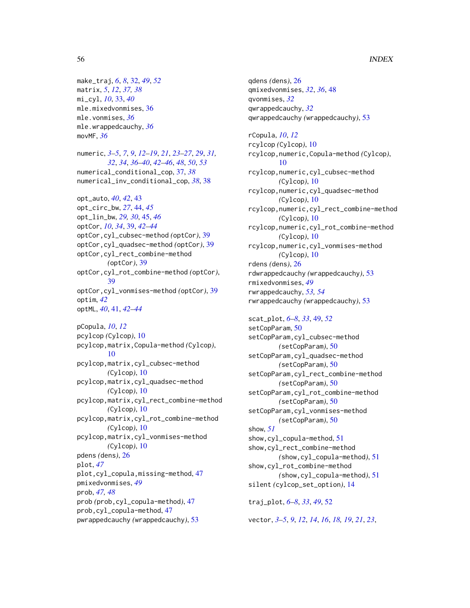make\_traj, *[6](#page-5-0)*, *[8](#page-7-0)*, [32,](#page-31-0) *[49](#page-48-0)*, *[52](#page-51-0)* matrix, *[5](#page-4-0)*, *[12](#page-11-0)*, *[37,](#page-36-0) [38](#page-37-0)* mi\_cyl, *[10](#page-9-0)*, [33,](#page-32-0) *[40](#page-39-0)* mle.mixedvonmises, [36](#page-35-0) mle.vonmises, *[36](#page-35-0)* mle.wrappedcauchy, *[36](#page-35-0)* movMF, *[36](#page-35-0)*

numeric, *[3](#page-2-0)[–5](#page-4-0)*, *[7](#page-6-0)*, *[9](#page-8-0)*, *[12](#page-11-0)[–19](#page-18-0)*, *[21](#page-20-0)*, *[23–](#page-22-0)[27](#page-26-0)*, *[29](#page-28-0)*, *[31,](#page-30-0) [32](#page-31-0)*, *[34](#page-33-0)*, *[36](#page-35-0)[–40](#page-39-0)*, *[42–](#page-41-0)[46](#page-45-0)*, *[48](#page-47-0)*, *[50](#page-49-0)*, *[53](#page-52-0)* numerical\_conditional\_cop, [37,](#page-36-0) *[38](#page-37-0)* numerical\_inv\_conditional\_cop, *[38](#page-37-0)*, [38](#page-37-0)

opt\_auto, *[40](#page-39-0)*, *[42](#page-41-0)*, [43](#page-42-0) opt\_circ\_bw, *[27](#page-26-0)*, [44,](#page-43-0) *[45](#page-44-0)* opt\_lin\_bw, *[29,](#page-28-0) [30](#page-29-0)*, [45,](#page-44-0) *[46](#page-45-0)* optCor, *[10](#page-9-0)*, *[34](#page-33-0)*, [39,](#page-38-0) *[42](#page-41-0)[–44](#page-43-0)* optCor,cyl\_cubsec-method *(*optCor*)*, [39](#page-38-0) optCor,cyl\_quadsec-method *(*optCor*)*, [39](#page-38-0) optCor,cyl\_rect\_combine-method *(*optCor*)*, [39](#page-38-0) optCor,cyl\_rot\_combine-method *(*optCor*)*, [39](#page-38-0) optCor,cyl\_vonmises-method *(*optCor*)*, [39](#page-38-0) optim, *[42](#page-41-0)* optML, *[40](#page-39-0)*, [41,](#page-40-0) *[42](#page-41-0)[–44](#page-43-0)*

pCopula, *[10](#page-9-0)*, *[12](#page-11-0)* pcylcop *(*Cylcop*)*, [10](#page-9-0) pcylcop,matrix,Copula-method *(*Cylcop*)*, [10](#page-9-0) pcylcop,matrix,cyl\_cubsec-method *(*Cylcop*)*, [10](#page-9-0) pcylcop,matrix,cyl\_quadsec-method *(*Cylcop*)*, [10](#page-9-0) pcylcop,matrix,cyl\_rect\_combine-method *(*Cylcop*)*, [10](#page-9-0) pcylcop,matrix,cyl\_rot\_combine-method *(*Cylcop*)*, [10](#page-9-0) pcylcop,matrix,cyl\_vonmises-method *(*Cylcop*)*, [10](#page-9-0) pdens *(*dens*)*, [26](#page-25-0) plot, *[47](#page-46-0)* plot,cyl\_copula,missing-method, [47](#page-46-0) pmixedvonmises, *[49](#page-48-0)* prob, *[47,](#page-46-0) [48](#page-47-0)* prob *(*prob,cyl\_copula-method*)*, [47](#page-46-0) prob,cyl\_copula-method, [47](#page-46-0) pwrappedcauchy *(*wrappedcauchy*)*, [53](#page-52-0)

qdens *(*dens*)*, [26](#page-25-0) qmixedvonmises, *[32](#page-31-0)*, *[36](#page-35-0)*, [48](#page-47-0) qvonmises, *[32](#page-31-0)* qwrappedcauchy, *[32](#page-31-0)* qwrappedcauchy *(*wrappedcauchy*)*, [53](#page-52-0) rCopula, *[10](#page-9-0)*, *[12](#page-11-0)* rcylcop *(*Cylcop*)*, [10](#page-9-0) rcylcop,numeric,Copula-method *(*Cylcop*)*, [10](#page-9-0) rcylcop,numeric,cyl\_cubsec-method *(*Cylcop*)*, [10](#page-9-0) rcylcop,numeric,cyl\_quadsec-method *(*Cylcop*)*, [10](#page-9-0) rcylcop,numeric,cyl\_rect\_combine-method *(*Cylcop*)*, [10](#page-9-0) rcylcop,numeric,cyl\_rot\_combine-method *(*Cylcop*)*, [10](#page-9-0) rcylcop,numeric,cyl\_vonmises-method *(*Cylcop*)*, [10](#page-9-0) rdens *(*dens*)*, [26](#page-25-0) rdwrappedcauchy *(*wrappedcauchy*)*, [53](#page-52-0) rmixedvonmises, *[49](#page-48-0)* rwrappedcauchy, *[53,](#page-52-0) [54](#page-53-0)* rwrappedcauchy *(*wrappedcauchy*)*, [53](#page-52-0) scat\_plot, *[6](#page-5-0)[–8](#page-7-0)*, *[33](#page-32-0)*, [49,](#page-48-0) *[52](#page-51-0)*

setCopParam, [50](#page-49-0) setCopParam,cyl\_cubsec-method *(*setCopParam*)*, [50](#page-49-0) setCopParam,cyl\_quadsec-method *(*setCopParam*)*, [50](#page-49-0) setCopParam,cyl\_rect\_combine-method *(*setCopParam*)*, [50](#page-49-0) setCopParam,cyl\_rot\_combine-method *(*setCopParam*)*, [50](#page-49-0) setCopParam,cyl\_vonmises-method *(*setCopParam*)*, [50](#page-49-0) show, *[51](#page-50-0)* show,cyl\_copula-method, [51](#page-50-0) show,cyl\_rect\_combine-method *(*show,cyl\_copula-method*)*, [51](#page-50-0) show,cyl\_rot\_combine-method *(*show,cyl\_copula-method*)*, [51](#page-50-0) silent *(*cylcop\_set\_option*)*, [14](#page-13-0) traj\_plot, *[6](#page-5-0)[–8](#page-7-0)*, *[33](#page-32-0)*, *[49](#page-48-0)*, [52](#page-51-0)

vector, *[3](#page-2-0)[–5](#page-4-0)*, *[9](#page-8-0)*, *[12](#page-11-0)*, *[14](#page-13-0)*, *[16](#page-15-0)*, *[18,](#page-17-0) [19](#page-18-0)*, *[21](#page-20-0)*, *[23](#page-22-0)*,